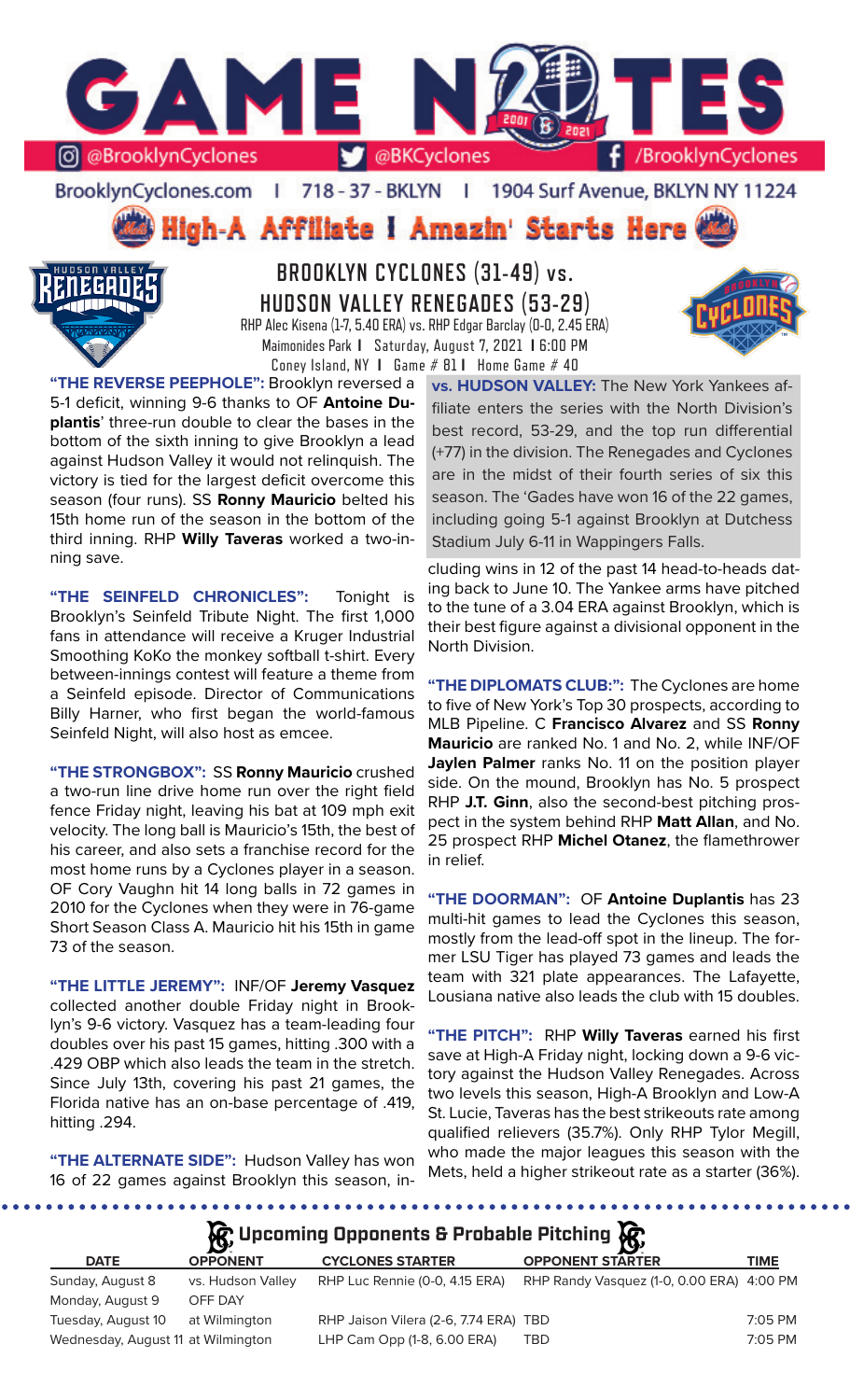

BrooklynCyclones.com | 718 - 37 - BKLYN | 1904 Surf Avenue, BKLYN NY 11224

High-A Affiliate I Amazin' Starts Here



## **BROOKLYN CYCLONES (31-49) vs. HUDSON VALLEY RENEGADES (53-29)** RHP Alec Kisena (1-7, 5.40 ERA) vs. RHP Edgar Barclay (0-0, 2.45 ERA) Maimonides Park **I** Saturday, August 7, 2021 **I** 6:00 PM Coney Island, NY **I** Game # 81 **I** Home Game # 40



**"THE SEINFELD CHRONICLES":** Tonight is Brooklyn's Seinfeld Tribute Night. The first 1,000 fans in attendance will receive a Kruger Industrial Smoothing KoKo the monkey softball t-shirt. Every between-innings contest will feature a theme from a Seinfeld episode. Director of Communications Billy Harner, who first began the world-famous Seinfeld Night, will also host as emcee.

**"THE STRONGBOX":** SS **Ronny Mauricio** crushed a two-run line drive home run over the right field fence Friday night, leaving his bat at 109 mph exit velocity. The long ball is Mauricio's 15th, the best of his career, and also sets a franchise record for the most home runs by a Cyclones player in a season. OF Cory Vaughn hit 14 long balls in 72 games in 2010 for the Cyclones when they were in 76-game Short Season Class A. Mauricio hit his 15th in game 73 of the season.

**"THE LITTLE JEREMY":** INF/OF **Jeremy Vasquez**  collected another double Friday night in Brooklyn's 9-6 victory. Vasquez has a team-leading four doubles over his past 15 games, hitting .300 with a .429 OBP which also leads the team in the stretch. Since July 13th, covering his past 21 games, the Florida native has an on-base percentage of .419, hitting .294.

**"THE ALTERNATE SIDE":** Hudson Valley has won 16 of 22 games against Brooklyn this season, in**vs. HUDSON VALLEY:** The New York Yankees affiliate enters the series with the North Division's best record, 53-29, and the top run differential (+77) in the division. The Renegades and Cyclones are in the midst of their fourth series of six this season. The 'Gades have won 16 of the 22 games, including going 5-1 against Brooklyn at Dutchess Stadium July 6-11 in Wappingers Falls.

cluding wins in 12 of the past 14 head-to-heads dating back to June 10. The Yankee arms have pitched to the tune of a 3.04 ERA against Brooklyn, which is their best figure against a divisional opponent in the North Division.

**"THE DIPLOMATS CLUB:":** The Cyclones are home to five of New York's Top 30 prospects, according to MLB Pipeline. C **Francisco Alvarez** and SS **Ronny Mauricio** are ranked No. 1 and No. 2, while INF/OF **Jaylen Palmer** ranks No. 11 on the position player side. On the mound, Brooklyn has No. 5 prospect RHP **J.T. Ginn**, also the second-best pitching prospect in the system behind RHP **Matt Allan**, and No. 25 prospect RHP **Michel Otanez**, the flamethrower in relief.

**"THE DOORMAN":** OF **Antoine Duplantis** has 23 multi-hit games to lead the Cyclones this season, mostly from the lead-off spot in the lineup. The former LSU Tiger has played 73 games and leads the team with 321 plate appearances. The Lafayette, Lousiana native also leads the club with 15 doubles.

**"THE PITCH":** RHP **Willy Taveras** earned his first save at High-A Friday night, locking down a 9-6 victory against the Hudson Valley Renegades. Across two levels this season, High-A Brooklyn and Low-A St. Lucie, Taveras has the best strikeouts rate among qualified relievers (35.7%). Only RHP Tylor Megill, who made the major leagues this season with the Mets, held a higher strikeout rate as a starter (36%).

*Upcoming Opponents & Probable Pitching* 

|                                    | $\mathbf{B}^{\prime}$ |                                       | - 192                                     |           |
|------------------------------------|-----------------------|---------------------------------------|-------------------------------------------|-----------|
| <b>DATE</b>                        | <b>OPPONENT</b>       | <b>CYCLONES STARTER</b>               | <b>OPPONENT STARTER</b>                   | TIME      |
| Sunday, August 8                   | vs. Hudson Valley     | RHP Luc Rennie (0-0, 4.15 ERA)        | RHP Randy Vasquez (1-0, 0.00 ERA) 4:00 PM |           |
| Monday, August 9                   | OFF DAY               |                                       |                                           |           |
| Tuesday, August 10                 | at Wilmington         | RHP Jaison Vilera (2-6, 7.74 ERA) TBD |                                           | $7:05$ PM |
| Wednesday, August 11 at Wilmington |                       | LHP Cam Opp (1-8, 6.00 ERA)           | TBD                                       | 7:05 PM   |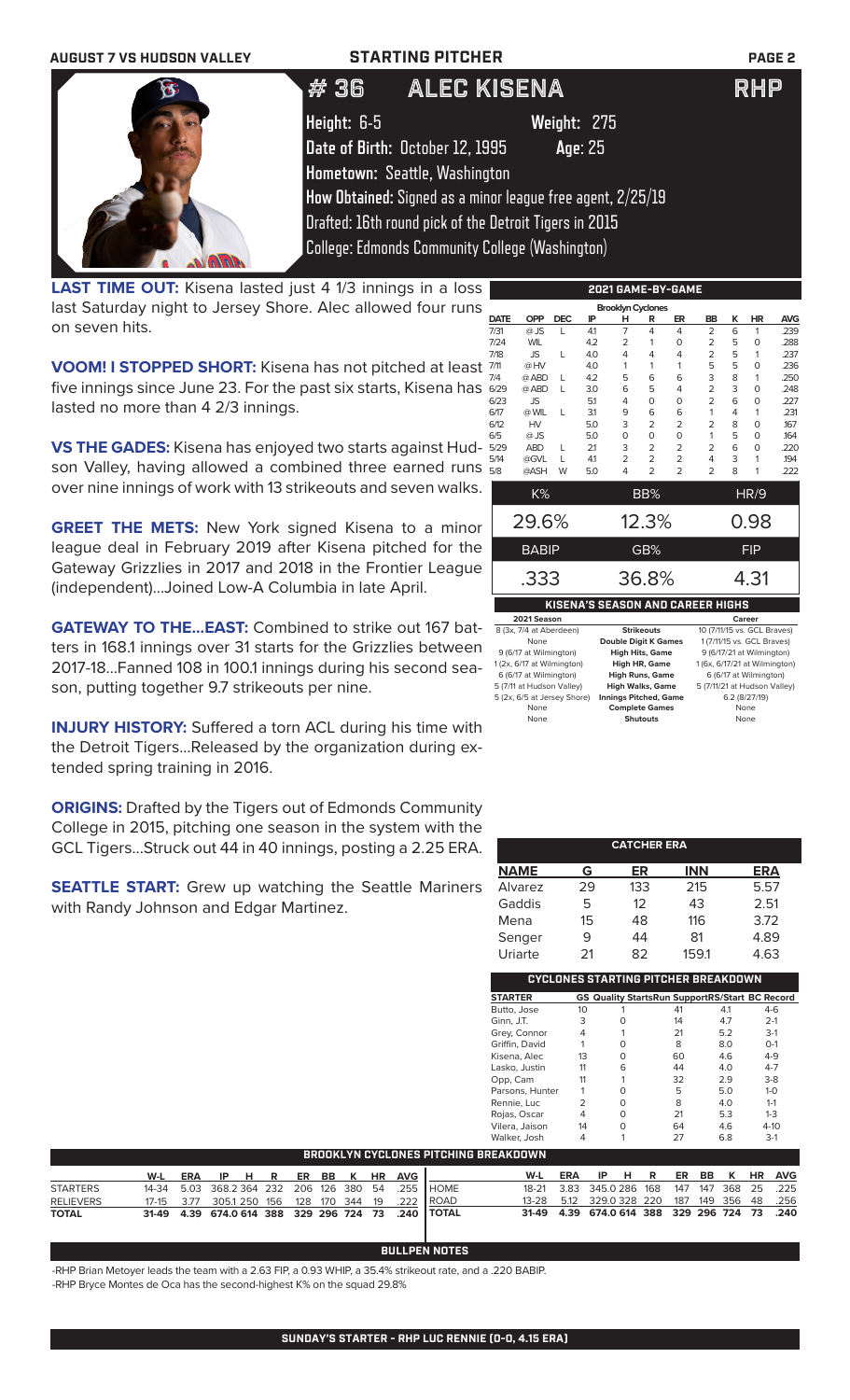

last Saturday night to Jersey Shore. Alec allowed four runs on seven hits.

**VOOM! I STOPPED SHORT:** Kisena has not pitched at least five innings since June 23. For the past six starts, Kisena has lasted no more than 4 2/3 innings.

**VS THE GADES:** Kisena has enjoyed two starts against Hudson Valley, having allowed a combined three earned runs over nine innings of work with 13 strikeouts and seven walks.

**GREET THE METS:** New York signed Kisena to a minor league deal in February 2019 after Kisena pitched for the Gateway Grizzlies in 2017 and 2018 in the Frontier League (independent)...Joined Low-A Columbia in late April.

**GATEWAY TO THE...EAST:** Combined to strike out 167 batters in 168.1 innings over 31 starts for the Grizzlies between 2017-18...Fanned 108 in 100.1 innings during his second season, putting together 9.7 strikeouts per nine.

**INJURY HISTORY:** Suffered a torn ACL during his time with the Detroit Tigers...Released by the organization during extended spring training in 2016.

**ORIGINS:** Drafted by the Tigers out of Edmonds Community College in 2015, pitching one season in the system with the GCL Tigers...Struck out 44 in 40 innings, posting a 2.25 ERA.

**SEATTLE START:** Grew up watching the Seattle Mariners with Randy Johnson and Edgar Martinez.

|             |              |            |     | <b>Brooklyn Cyclones</b> |                |                |                |   |            |            |
|-------------|--------------|------------|-----|--------------------------|----------------|----------------|----------------|---|------------|------------|
| <b>DATE</b> | <b>OPP</b>   | <b>DEC</b> | IP  | н                        | R              | ER             | <b>BB</b>      | ĸ | HR         | <b>AVG</b> |
| 7/31        | $@$ JS       | L          | 4.1 | 7                        | 4              | 4              | $\overline{2}$ | 6 | 1          | .239       |
| 7/24        | <b>WIL</b>   |            | 4.2 | $\overline{2}$           | 1              | O              | $\overline{2}$ | 5 | $\Omega$   | .288       |
| 7/18        | <b>JS</b>    | L          | 4.0 | 4                        | 4              | 4              | $\overline{2}$ | 5 | 1          | .237       |
| 7/11        | @HV          |            | 4.0 | 1                        | 1              | 1              | 5              | 5 | $\Omega$   | .236       |
| 7/4         | @ ABD        | L          | 4.2 | 5                        | 6              | 6              | 3              | 8 | 1          | .250       |
| 6/29        | @ ABD        | L          | 3.0 | 6                        | 5              | 4              | $\overline{2}$ | 3 | $\Omega$   | .248       |
| 6/23        | <b>JS</b>    |            | 5.1 | 4                        | 0              | $\Omega$       | $\overline{2}$ | 6 | $\Omega$   | .227       |
| 6/17        | @ WIL        | L          | 3.1 | 9                        | 6              | 6              | 1              | 4 | 1          | .231       |
| 6/12        | <b>HV</b>    |            | 5.0 | 3                        | $\overline{2}$ | $\overline{2}$ | $\overline{2}$ | 8 | $\Omega$   | .167       |
| 6/5         | $@$ JS       |            | 5.0 | O                        | 0              | 0              | 1              | 5 | $\Omega$   | .164       |
| 5/29        | <b>ABD</b>   | L          | 2.1 | 3                        | $\overline{2}$ | $\overline{2}$ | $\overline{2}$ | 6 | $\Omega$   | .220       |
| 5/14        | @GVL         | L          | 41  | $\overline{2}$           | $\overline{2}$ | $\overline{2}$ | 4              | 3 | 1          | .194       |
| 5/8         | @ASH         | W          | 5.0 | 4                        | $\overline{2}$ | $\overline{2}$ | $\overline{2}$ | 8 | 1          | .222       |
|             | K%           |            |     |                          | BB%            |                |                |   | HR/9       |            |
|             |              |            |     |                          |                |                |                |   |            |            |
|             | 29.6%        |            |     |                          | 12.3%          |                |                |   | 0.98       |            |
|             | <b>BABIP</b> |            |     |                          | GB%            |                |                |   | <b>FIP</b> |            |
|             | .333         |            |     |                          | 36.8%          |                |                |   | 4.31       |            |
|             |              |            |     |                          |                |                |                |   |            |            |

### **KISENA'S SEASON AND CAREER HIGHS**

| 2021 Season                 |                              | Career                        |
|-----------------------------|------------------------------|-------------------------------|
| 8 (3x, 7/4 at Aberdeen)     | <b>Strikeouts</b>            | 10 (7/11/15 vs. GCL Braves)   |
| None                        | <b>Double Digit K Games</b>  | 1 (7/11/15 vs. GCL Braves)    |
| 9 (6/17 at Wilmington)      | <b>High Hits, Game</b>       | 9 (6/17/21 at Wilmington)     |
| 1 (2x, 6/17 at Wilmington)  | <b>High HR, Game</b>         | 1 (6x, 6/17/21 at Wilmington) |
| 6 (6/17 at Wilmington)      | <b>High Runs, Game</b>       | 6 (6/17 at Wilmington)        |
| 5 (7/11 at Hudson Valley)   | <b>High Walks, Game</b>      | 5 (7/11/21 at Hudson Valley)  |
| 5 (2x, 6/5 at Jersey Shore) | <b>Innings Pitched, Game</b> | 6.2 (8/27/19)                 |
| None                        | <b>Complete Games</b>        | None                          |
| None                        | <b>Shutouts</b>              | None                          |

| <b>CATCHER ERA</b>                  |    |     |            |      |  |  |
|-------------------------------------|----|-----|------------|------|--|--|
| <b>NAME</b>                         | G  | ER  | <b>INN</b> | ERA  |  |  |
| Alvarez                             | 29 | 133 | 215        | 5.57 |  |  |
| Gaddis                              | 5  | 12  | 43         | 2.51 |  |  |
| Mena                                | 15 | 48  | 116        | 3.72 |  |  |
| Senger                              | 9  | 44  | 81         | 4.89 |  |  |
| Uriarte                             | 21 | 82  | 159.1      | 4.63 |  |  |
| CYCLONES STARTING PITCHER BREAKDOWN |    |     |            |      |  |  |

| <b>STARTER</b>  |    | <b>GS Quality StartsRun SupportRS/Start BC Record</b> |    |     |          |
|-----------------|----|-------------------------------------------------------|----|-----|----------|
| Butto, Jose     | 10 |                                                       | 41 | 4.1 | $4-6$    |
| Ginn, J.T.      | 3  |                                                       | 14 | 4.7 | $2 - 1$  |
| Grey, Connor    | 4  |                                                       | 21 | 5.2 | $3-1$    |
| Griffin, David  |    | O                                                     | 8  | 8.0 | $O-1$    |
| Kisena, Alec    | 13 | ∩                                                     | 60 | 4.6 | $4 - 9$  |
| Lasko, Justin   | 11 | 6                                                     | 44 | 4.0 | $4 - 7$  |
| Opp, Cam        | 11 |                                                       | 32 | 2.9 | $3-8$    |
| Parsons, Hunter |    | ∩                                                     | 5  | 5.0 | $1 - 0$  |
| Rennie, Luc     | 2  | O                                                     | 8  | 4.0 | $1 - 1$  |
| Rojas, Oscar    | 4  | O                                                     | 21 | 5.3 | $1 - 3$  |
| Vilera, Jaison  | 14 | ∩                                                     | 64 | 4.6 | $4 - 10$ |
| Walker, Josh    | 4  |                                                       | 27 | 6.8 | $3-1$    |

| <b>BROOKLYN CYCLONES PITCHING BREAKDOWN</b> |  |  |  |  |  |  |  |  |  |  |                                                                                                                                                                                                                     |  |  |  |  |                                                                                                                                                                             |
|---------------------------------------------|--|--|--|--|--|--|--|--|--|--|---------------------------------------------------------------------------------------------------------------------------------------------------------------------------------------------------------------------|--|--|--|--|-----------------------------------------------------------------------------------------------------------------------------------------------------------------------------|
|                                             |  |  |  |  |  |  |  |  |  |  |                                                                                                                                                                                                                     |  |  |  |  |                                                                                                                                                                             |
|                                             |  |  |  |  |  |  |  |  |  |  |                                                                                                                                                                                                                     |  |  |  |  |                                                                                                                                                                             |
|                                             |  |  |  |  |  |  |  |  |  |  |                                                                                                                                                                                                                     |  |  |  |  |                                                                                                                                                                             |
|                                             |  |  |  |  |  |  |  |  |  |  |                                                                                                                                                                                                                     |  |  |  |  |                                                                                                                                                                             |
|                                             |  |  |  |  |  |  |  |  |  |  | W-L ERA IP H R ER BB K HR AVG  <br>14-34  5.03  368.2  364  232  206  126  380  54  .255  HOME<br>17-15 3.77 305.1 250 156 128 170 344 19 .222 ROAD<br>31-49  4.39  674.0  614  388  329  296  724  73  .240  TOTAL |  |  |  |  | W-L ERA IP H R ER BB K HR AVG<br>18-21 3.83 345.0286 168 147 147 368 25 225<br>13-28 5.12 329.0 328 220 187 149 356 48 .256<br>31-49 4.39 674.0 614 388 329 296 724 73 .240 |

### **BULLPEN NOTES**

-RHP Brian Metoyer leads the team with a 2.63 FIP, a 0.93 WHIP, a 35.4% strikeout rate, and a .220 BABIP.

-RHP Bryce Montes de Oca has the second-highest K% on the squad 29.8%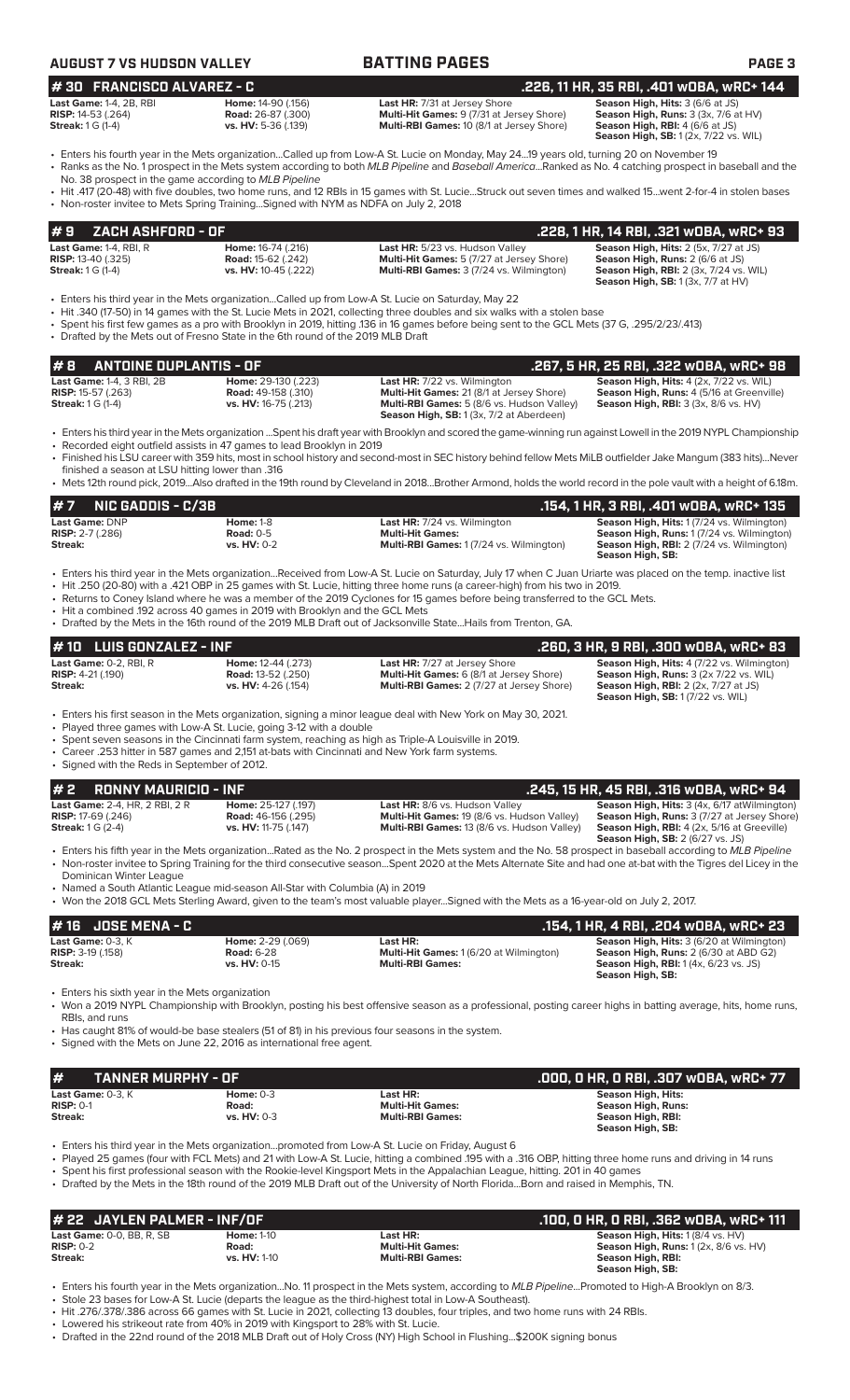## **AUGUST 7 BATTING PAGES PAGE 3**

| 1# 30   FRANCISCO ALVAREZ - C  |                           |
|--------------------------------|---------------------------|
| <b>Last Game: 1-4, 2B, RBI</b> | Home: 14-90 (.156)        |
| <b>RISP:</b> 14-53 (.264)      | <b>Road: 26-87 (.300)</b> |
| <b>Streak:</b> 1 G (1-4)       | vs. HV: 5-36 (.139)       |
|                                |                           |

**Last HR:** 7/31 at Jersey Shore **Season High, Hits:** 3 (6/6 at JS)<br> **Multi-Hit Games:** 9 (7/31 at Jersey Shore) **Season High, Runs:** 3 (3x, 7/6 a **Multi-RBI Games:** 10 (8/1 at Jersey Shore)

**Season High, Runs: 3 (3x, 7/6 at HV) Season High, RBI:** 4 (6/6 at JS)<br>**Season High, RBI:** 4 (6/6 at JS)<br>**Season High, SB:** 1 (2x, 7/22 vs. WIL) **# 30 FRANCISCO ALVAREZ - C .226, 11 HR, 35 RBI, .401 wOBA, wRC+ 144**

- Enters his fourth year in the Mets organization...Called up from Low-A St. Lucie on Monday, May 24...19 years old, turning 20 on November 19 • Ranks as the No. 1 prospect in the Mets system according to both *MLB Pipeline* and *Baseball America*...Ranked as No. 4 catching prospect in baseball and the
- No. 38 prospect in the game according to *MLB Pipeline* • Hit .417 (20-48) with five doubles, two home runs, and 12 RBIs in 15 games with St. Lucie...Struck out seven times and walked 15...went 2-for-4 in stolen bases • Non-roster invitee to Mets Spring Training...Signed with NYM as NDFA on July 2, 2018

| $\#$ 9 ZACH ASHFORD - OF                                                                 |                                                                                |                                                                                                                                        | .228, 1 HR, 14 RBI, .321 wOBA, wRC+ 93                                                                                                                                                    |
|------------------------------------------------------------------------------------------|--------------------------------------------------------------------------------|----------------------------------------------------------------------------------------------------------------------------------------|-------------------------------------------------------------------------------------------------------------------------------------------------------------------------------------------|
| <b>Last Game: 1-4, RBI, R</b><br><b>RISP:</b> 13-40 $(.325)$<br><b>Streak:</b> 1 G (1-4) | <b>Home: 16-74 (.216)</b><br><b>Road: 15-62 (.242)</b><br>vs. HV: 10-45 (.222) | Last HR: 5/23 vs. Hudson Valley<br><b>Multi-Hit Games:</b> 5 (7/27 at Jersey Shore)<br><b>Multi-RBI Games: 3 (7/24 vs. Wilmington)</b> | <b>Season High, Hits: 2 (5x, 7/27 at JS)</b><br><b>Season High, Runs: 2 (6/6 at JS)</b><br><b>Season High, RBI:</b> 2 (3x, 7/24 vs. WIL)<br><b>Season High, SB:</b> $1(3x, 7/7$ at $HV$ ) |

- Enters his third year in the Mets organization...Called up from Low-A St. Lucie on Saturday, May 22
- Hit .340 (17-50) in 14 games with the St. Lucie Mets in 2021, collecting three doubles and six walks with a stolen base
- Spent his first few games as a pro with Brooklyn in 2019, hitting .136 in 16 games before being sent to the GCL Mets (37 G, .295/2/23/.413) • Drafted by the Mets out of Fresno State in the 6th round of the 2019 MLB Draft
- **# 8 ANTOINE DUPLANTIS OF .267, 5 HR, 25 RBI, .322 wOBA, wRC+ 98 Last Game:** 1-4, 3 RBI, 2B **Home:** 29-130 (.223) **Last HR:** 7/22 vs. Wilmington **Season High, Hits:** 4 (2x, 7/22 vs. WIL) **RISP:** 15-57 (.263) **Road:** 49-158 (.310) **Multi-Hit Games:** 21 (8/1 at Jersey Shore) **Season High, Runs:** 4 (5/16 at Greenville) **Streak:** 1 G (1-4) **vs. HV:** 16-75 (.213) **Multi-RBI Games:** 5 (8/6 vs. Hudson Valley) **Season High, RBI:** 3 (3x, 8/6 vs. HV) Season High, SB: 1 (3x, 7/2 at Aberdeen) • Enters his third year in the Mets organization ...Spent his draft year with Brooklyn and scored the game-winning run against Lowell in the 2019 NYPL Championship • Recorded eight outfield assists in 47 games to lead Brooklyn in 2019 • Finished his LSU career with 359 hits, most in school history and second-most in SEC history behind fellow Mets MiLB outfielder Jake Mangum (383 hits)...Never finished a season at LSU hitting lower than .316 • Mets 12th round pick, 2019...Also drafted in the 19th round by Cleveland in 2018...Brother Armond, holds the world record in the pole vault with a height of 6.18m. **# 7 NIC GADDIS - C/3B .154, 1 HR, 3 RBI, .401 wOBA, wRC+ 135**<br>Last HR: 7/24 vs. Wilmington **.154, 1 HR, 3 RBI, .401 wOBA, wRC+ 135**<br>Risp: 2-7 (.286) **.2.7 (.286)** Road: 0-5 **.2.7 (.286)** Road: 0-5 **.2.7 (.286)** Road: **Last Game:** DNP **Home:** 1-8 **Last HR:** 7/24 vs. Wilmington **Season High, Hits:** 1 (7/24 vs. Wilmington) **RISP:** 2-7 (.286) **Road:** 0-5 **Multi-Hit Games: Season High, Runs:** 1 (7/24 vs. Wilmington) **Streak: vs. HV:** 0-2 **Multi-RBI Games:** 1 (7/24 vs. Wilmington) **Season High, RBI:** 2 (7/24 vs. Wilmington) **Season High, SB:**
- Enters his third year in the Mets organization...Received from Low-A St. Lucie on Saturday, July 17 when C Juan Uriarte was placed on the temp. inactive list • Hit .250 (20-80) with a .421 OBP in 25 games with St. Lucie, hitting three home runs (a career-high) from his two in 2019.
- Returns to Coney Island where he was a member of the 2019 Cyclones for 15 games before being transferred to the GCL Mets.
- Hit a combined .192 across 40 games in 2019 with Brooklyn and the GCL Mets
- Drafted by the Mets in the 16th round of the 2019 MLB Draft out of Jacksonville State...Hails from Trenton, GA.

| $# 10$ LUIS GONZALEZ - INF                                                          |                                                                               |                                                                                                                                             |                                                                                                                                                                                        |
|-------------------------------------------------------------------------------------|-------------------------------------------------------------------------------|---------------------------------------------------------------------------------------------------------------------------------------------|----------------------------------------------------------------------------------------------------------------------------------------------------------------------------------------|
| <b>Last Game: <math>0-2</math>. RBI. R</b><br><b>RISP:</b> $4-21$ (.190)<br>Streak: | <b>Home: 12-44 (.273)</b><br><b>Road: 13-52 (.250)</b><br>vs. HV: 4-26 (.154) | <b>Last HR:</b> 7/27 at Jersey Shore<br><b>Multi-Hit Games:</b> 6 (8/1 at Jersey Shore)<br><b>Multi-RBI Games: 2 (7/27 at Jersey Shore)</b> | <b>Season High, Hits: 4 (7/22 vs. Wilmington)</b><br><b>Season High, Runs: 3 (2x 7/22 vs. WIL)</b><br><b>Season High, RBI:</b> 2 (2x, 7/27 at JS)<br>Season High, SB: 1 (7/22 vs. WIL) |

• Enters his first season in the Mets organization, signing a minor league deal with New York on May 30, 2021.

- Played three games with Low-A St. Lucie, going 3-12 with a double
- Spent seven seasons in the Cincinnati farm system, reaching as high as Triple-A Louisville in 2019. • Career .253 hitter in 587 games and 2,151 at-bats with Cincinnati and New York farm systems.
- Signed with the Reds in September of 2012.

**# 2 RONNY MAURICIO - INF**<br>
Last Game: 2-4, HR, 2 RBI, 2 R<br>
RISP: 17-69 (.246) RISP: 17-69 (.246) Road: 46-156 (.295) Multi-Hit Games: 19 (8/6 vs. Hudson Valley Season High, Hits: 3 (4x, 6/17 atWilmingto **Streak:** 1 G (2-4) **vs. HV:** 11-75 (.147) **Multi-RBI Games:** 13 (8/6 vs. Hudson Valley) **Season High, RBI:** 4 (2x, 5/16 at Greeville)

**Last Game:** 2-4, HR, 2 RBI, 2 R **Home:** 25-127 (.197) **Last HR:** 8/6 vs. Hudson Valley **Season High, Hits:** 3 (4x, 6/17 atWilmington) **RISP:** 17-69 (.246) **Road:** 46-156 (.295) **Multi-Hit Games:** 19 (8/6 vs. Hudson Valley) **Season High, Runs:** 3 (7/27 at Jersey Shore) **Season High, SB:** 2 (6/27 vs. JS)

- Enters his fifth year in the Mets organization...Rated as the No. 2 prospect in the Mets system and the No. 58 prospect in baseball according to *MLB Pipeline* • Non-roster invitee to Spring Training for the third consecutive season...Spent 2020 at the Mets Alternate Site and had one at-bat with the Tigres del Licey in the Dominican Winter League
- Named a South Atlantic League mid-season All-Star with Columbia (A) in 2019
- Won the 2018 GCL Mets Sterling Award, given to the team's most valuable player...Signed with the Mets as a 16-year-old on July 2, 2017.

| 1# 16   JOSE MENA - C      |                          |                                                | .154, 1 HR, 4 RBI, .204 wOBA, wRC+ 23            |
|----------------------------|--------------------------|------------------------------------------------|--------------------------------------------------|
| Last Game: $0-3.$ K        | <b>Home: 2-29 (.069)</b> | Last HR:                                       | <b>Season High, Hits: 3 (6/20 at Wilmington)</b> |
| <b>RISP:</b> $3-19$ (.158) | <b>Road: 6-28</b>        | <b>Multi-Hit Games: 1 (6/20 at Wilmington)</b> | <b>Season High, Runs: 2 (6/30 at ABD G2)</b>     |
| Streak:                    | <b>vs. HV: 0-15</b>      | <b>Multi-RBI Games:</b>                        | <b>Season High, RBI:</b> 1(4x, 6/23 vs. JS)      |
|                            |                          |                                                | Season High, SB:                                 |

Enters his sixth year in the Mets organization

• Won a 2019 NYPL Championship with Brooklyn, posting his best offensive season as a professional, posting career highs in batting average, hits, home runs, RBIs, and runs

- Has caught 81% of would-be base stealers (51 of 81) in his previous four seasons in the system.
- Signed with the Mets on June 22, 2016 as international free agent.

| #<br><b>TANNER MURPHY - OF</b> |                    |                         | .000, 0 HR, 0 RBI, .307 w0BA, wRC+ 77 |
|--------------------------------|--------------------|-------------------------|---------------------------------------|
| Last Game: $0-3.$ K            | Home: $0-3$        | Last HR:                | <b>Season High, Hits:</b>             |
| $RISP: 0-1$                    | Road:              | <b>Multi-Hit Games:</b> | Season High, Runs:                    |
| Streak:                        | <b>vs. HV: 0-3</b> | <b>Multi-RBI Games:</b> | Season High, RBI:                     |
|                                |                    |                         | Season High, SB:                      |

• Enters his third year in the Mets organization...promoted from Low-A St. Lucie on Friday, August 6

• Played 25 games (four with FCL Mets) and 21 with Low-A St. Lucie, hitting a combined .195 with a .316 OBP, hitting three home runs and driving in 14 runs

• Spent his first professional season with the Rookie-level Kingsport Mets in the Appalachian League, hitting. 201 in 40 games

• Drafted by the Mets in the 18th round of the 2019 MLB Draft out of the University of North Florida...Born and raised in Memphis, TN.

| # 22 JAYLEN PALMER - INF/OF      |                     |                         | .100, 0 HR, 0 RBI, .362 w0BA, wRC+ 111           |
|----------------------------------|---------------------|-------------------------|--------------------------------------------------|
| <b>Last Game: 0-0, BB, R, SB</b> | <b>Home: 1-10</b>   | Last HR:                | <b>Season High, Hits: 1 (8/4 vs. HV)</b>         |
| $RISP: 0-2$                      | Road:               | <b>Multi-Hit Games:</b> | <b>Season High, Runs:</b> $1(2x, 8/6$ vs. $HV$ ) |
| Streak:                          | <b>vs. HV: 1-10</b> | <b>Multi-RBI Games:</b> | Season High, RBI:                                |
|                                  |                     |                         | Season High, SB:                                 |

- Enters his fourth year in the Mets organization...No. 11 prospect in the Mets system, according to *MLB Pipeline*...Promoted to High-A Brooklyn on 8/3.
- Stole 23 bases for Low-A St. Lucie (departs the league as the third-highest total in Low-A Southeast).

- Lowered his strikeout rate from 40% in 2019 with Kingsport to 28% with St. Lucie.
- Drafted in the 22nd round of the 2018 MLB Draft out of Holy Cross (NY) High School in Flushing...\$200K signing bonus

<sup>•</sup> Hit .276/.378/.386 across 66 games with St. Lucie in 2021, collecting 13 doubles, four triples, and two home runs with 24 RBIs.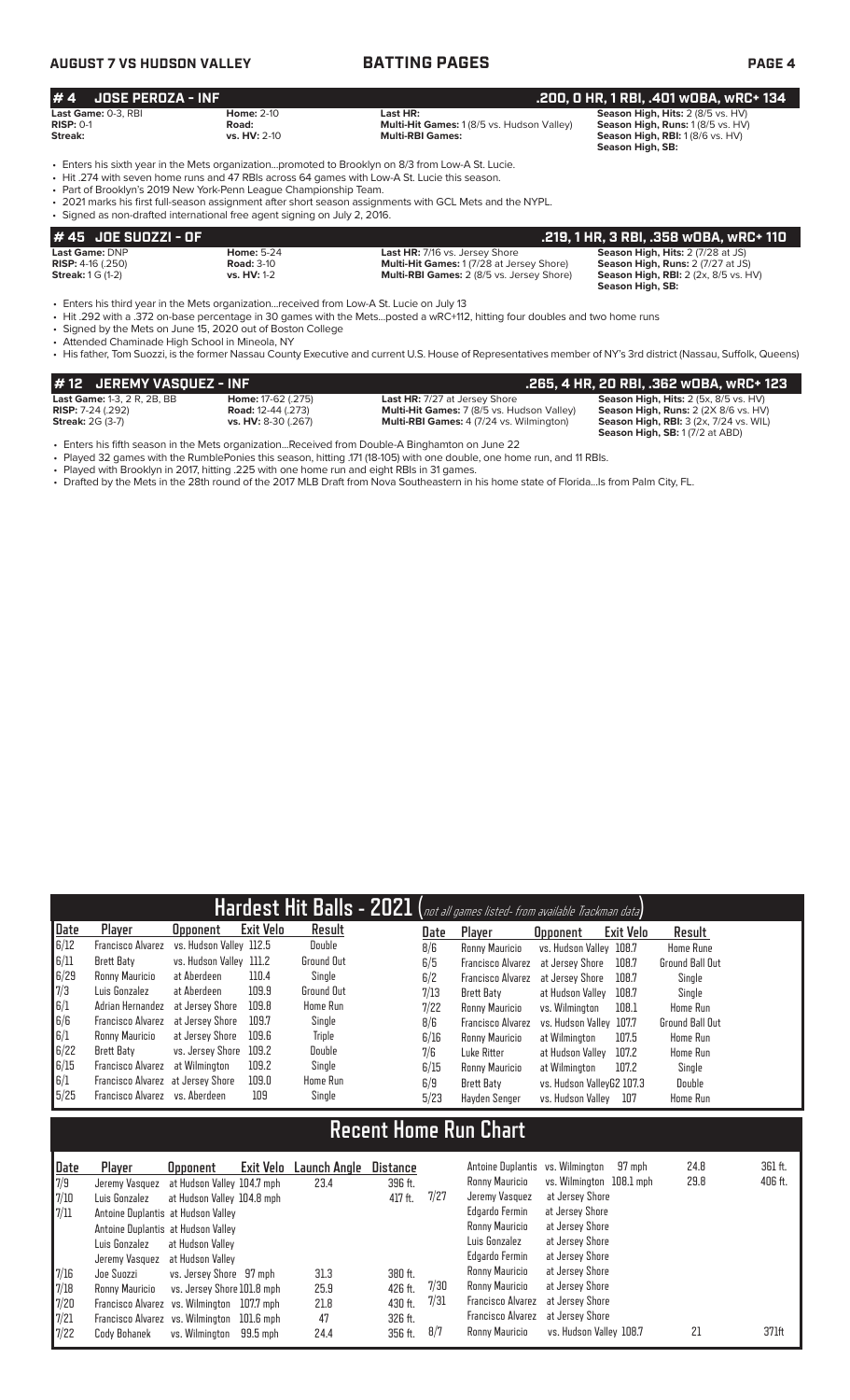## **AUGUST 7 VS HUDSON VALLEY BATTING PAGES PAGE 4**

|  |  | PА |
|--|--|----|
|  |  |    |

| #4<br>JOSE PEROZA - INF                       |                                                                                                                                                |                                                                                                                                                                                                                                                                                                                | .200, 0 HR, 1 RBI, .401 w0BA, wRC+ 134                                                                                         |
|-----------------------------------------------|------------------------------------------------------------------------------------------------------------------------------------------------|----------------------------------------------------------------------------------------------------------------------------------------------------------------------------------------------------------------------------------------------------------------------------------------------------------------|--------------------------------------------------------------------------------------------------------------------------------|
| Last Game: 0-3, RBI<br>$RISP: 0-1$<br>Streak: | <b>Home: 2-10</b><br>Road:<br><b>vs. HV: 2-10</b>                                                                                              | Last HR:<br>Multi-Hit Games: 1 (8/5 vs. Hudson Valley)<br><b>Multi-RBI Games:</b>                                                                                                                                                                                                                              | Season High, Hits: 2 (8/5 vs. HV)<br>Season High, Runs: 1 (8/5 vs. HV)<br>Season High, RBI: 1 (8/6 vs. HV)<br>Season High, SB: |
|                                               | • Part of Brooklyn's 2019 New York-Penn League Championship Team.<br>• Signed as non-drafted international free agent signing on July 2, 2016. | . Enters his sixth year in the Mets organizationpromoted to Brooklyn on 8/3 from Low-A St. Lucie.<br>• Hit .274 with seven home runs and 47 RBIs across 64 games with Low-A St. Lucie this season.<br>• 2021 marks his first full-season assignment after short season assignments with GCL Mets and the NYPL. |                                                                                                                                |
| $H 45$ . INF SIIN771 - NF                     |                                                                                                                                                |                                                                                                                                                                                                                                                                                                                | 219 1 HR 3 RRI 358 WORA WRC+ 110                                                                                               |

| 1 # 45   JOE SUOZZI - OF       |                    |                                                  | .219, 1 HR, 3 RBI, .358 WOBA, WRC+ 110                                     |
|--------------------------------|--------------------|--------------------------------------------------|----------------------------------------------------------------------------|
| Last Game: DNP                 | <b>Home: 5-24</b>  | Last HR: 7/16 vs. Jersey Shore                   | <b>Season High, Hits: 2 (7/28 at JS)</b>                                   |
| <b>RISP:</b> $4-16$ ( $.250$ ) | <b>Road: 3-10</b>  | <b>Multi-Hit Games: 1(7/28 at Jersey Shore)</b>  | <b>Season High, Runs: 2 (7/27 at JS)</b>                                   |
| <b>Streak:</b> 1 G (1-2)       | <b>vs. HV:</b> 1-2 | <b>Multi-RBI Games: 2 (8/5 vs. Jersey Shore)</b> | <b>Season High, RBI:</b> $2$ ( $2x$ , $8/5$ vs. $HV$ )<br>Season High, SB: |

• Enters his third year in the Mets organization...received from Low-A St. Lucie on July 13

• Hit .292 with a .372 on-base percentage in 30 games with the Mets...posted a wRC+112, hitting four doubles and two home runs

• Signed by the Mets on June 15, 2020 out of Boston College

• Attended Chaminade High School in Mineola, NY

• His father, Tom Suozzi, is the former Nassau County Executive and current U.S. House of Representatives member of NY's 3rd district (Nassau, Suffolk, Queens)

| #12 JEREMY VASQUEZ - INF           |                           |                                                   | .265, 4 HR, 20 RBI, .362 wOBA, wRC+ 123             |
|------------------------------------|---------------------------|---------------------------------------------------|-----------------------------------------------------|
| <b>Last Game: 1-3, 2 R, 2B, BB</b> | <b>Home:</b> 17-62 (.275) | <b>Last HR:</b> 7/27 at Jersey Shore              | <b>Season High, Hits:</b> $2$ (5x, $8/5$ vs. $HV$ ) |
| <b>RISP:</b> $7-24$ (.292)         | <b>Road:</b> 12-44 (.273) | <b>Multi-Hit Games:</b> 7 (8/5 vs. Hudson Valley) | Season High, Runs: 2 (2X 8/6 vs. HV)                |
| <b>Streak: 2G (3-7)</b>            | vs. HV: 8-30 (.267)       | <b>Multi-RBI Games: 4 (7/24 vs. Wilmington)</b>   | <b>Season High, RBI:</b> 3 (2x, 7/24 vs. WIL)       |
|                                    |                           |                                                   | <b>Season High, SB: 1 (7/2 at ABD)</b>              |

• Enters his fifth season in the Mets organization...Received from Double-A Binghamton on June 22

• Played 32 games with the RumblePonies this season, hitting .171 (18-105) with one double, one home run, and 11 RBIs.

• Played with Brooklyn in 2017, hitting .225 with one home run and eight RBIs in 31 games.

• Drafted by the Mets in the 28th round of the 2017 MLB Draft from Nova Southeastern in his home state of Florida...Is from Palm City, FL.

|      |                                   |                         |           |                 |      | Hardest Hit Balls - 2021 (not all games listed- from available Trackman data) |                           |           |                        |
|------|-----------------------------------|-------------------------|-----------|-----------------|------|-------------------------------------------------------------------------------|---------------------------|-----------|------------------------|
| Date | Player                            | <b>Opponent</b>         | Exit Velo | Result          | Date | Player                                                                        | <b>Opponent</b>           | Exit Velo | Result                 |
| 6/12 | <b>Francisco Alvarez</b>          | vs. Hudson Valley 112.5 |           | Double          | 8/6  | Ronny Mauricio                                                                | vs. Hudson Valley 108.7   |           | <b>Home Rune</b>       |
| 6/11 | Brett Baty                        | vs. Hudson Valley 111.2 |           | Ground Out      | 6/5  | Francisco Alvarez                                                             | at Jersey Shore           | 108.7     | <b>Ground Ball Out</b> |
| 6/29 | Ronny Mauricio                    | at Aberdeen             | 110.4     | Single          | 6/2  | Francisco Alvarez                                                             | at Jersev Shore           | 108.7     | Single                 |
| 7/3  | Luis Gonzalez                     | at Aberdeen             | 109.9     | Ground Out      | 7/13 | Brett Baty                                                                    | at Hudson Vallev          | 108.7     | Single                 |
| 6/1  | Adrian Hernandez                  | at Jersev Shore         | 109.8     | Home Run        | 7/22 | Ronny Mauricio                                                                | vs. Wilminaton            | 108.1     | Home Run               |
| 6/6  | Francisco Alvarez                 | at Jersev Shore         | 109.7     | Single          | 8/6  | Francisco Alvarez                                                             | vs. Hudson Valley 107.7   |           | Ground Ball Out        |
| 6/1  | Ronny Mauricio                    | at Jersev Shore         | 109.6     | Triple          | 6/16 | Ronny Mauricio                                                                | at Wilmington             | 107.5     | Home Run               |
| 6/22 | Brett Baty                        | vs. Jersev Shore        | 109.2     | Double          | 7/6  | Luke Ritter                                                                   | at Hudson Vallev          | 107.2     | Home Run               |
| 6/15 | Francisco Alvarez                 | at Wilmington           | 109.2     | Single          | 6/15 | Ronny Mauricio                                                                | at Wilmington             | 107.2     | Single                 |
| 6/1  | Francisco Alvarez at Jersey Shore |                         | 109.0     | <b>Home Run</b> | 6/9  | Brett Baty                                                                    | vs. Hudson VallevG2 107.3 |           | Double                 |
| 5/25 | Francisco Alvarez vs. Aberdeen    |                         | 109       | Single          | 5/23 | Havden Senger                                                                 | vs. Hudson Vallev         | 107       | Home Run               |

## **Recent Home Run Chart**

| Date<br>7/9<br>7/10<br>7/11                                                         | Plaver<br>Jeremy Vasquez at Hudson Valley 104.7 mph<br>Luis Gonzalez<br>Antoine Duplantis at Hudson Valley<br>Antoine Duplantis at Hudson Valley<br>Luis Gonzalez<br>Jeremy Vasquez | <b>Opponent</b><br>at Hudson Valley 104.8 mph<br>at Hudson Valley<br>at Hudson Vallev | Exit Velo | Launch Angle<br>23.4               | Distance<br>396 ft.<br>417 ft.                      | 7/27                | Antoine Duplantis vs. Wilmington<br>Ronny Mauricio<br>Jeremy Vasquez<br>Edgardo Fermin<br>Ronny Mauricio<br>Luis Gonzalez<br>Edgardo Fermin | vs. Wilmington 108.1 mph<br>at Jersey Shore<br>at Jersey Shore<br>at Jersey Shore<br>at Jersey Shore<br>at Jersey Shore | 97 mph | 24.8<br>29.8 | 361 ft.<br>406 ft. |
|-------------------------------------------------------------------------------------|-------------------------------------------------------------------------------------------------------------------------------------------------------------------------------------|---------------------------------------------------------------------------------------|-----------|------------------------------------|-----------------------------------------------------|---------------------|---------------------------------------------------------------------------------------------------------------------------------------------|-------------------------------------------------------------------------------------------------------------------------|--------|--------------|--------------------|
| 7/16<br>$\begin{array}{ c } \hline 7/18 \\ \hline 7/20 \end{array}$<br>7/21<br>7/22 | Joe Suozzi<br>Ronny Mauricio<br>Francisco Alvarez vs. Wilmington 107.7 mph<br>Francisco Alvarez vs. Wilmington 101.6 mph<br>Codv Bohanek                                            | vs. Jersey Shore 97 mph<br>vs. Jersey Shore 101.8 mph<br>vs. Wilmington               | 99.5 mph  | 31.3<br>25.9<br>21.8<br>47<br>24.4 | 380 ft.<br>426 ft.<br>430 ft.<br>326 ft.<br>356 ft. | 7/30<br>7/31<br>8/7 | Ronny Mauricio<br>Ronny Mauricio<br>Francisco Alvarez<br>Francisco Alvarez<br>Ronny Mauricio                                                | at Jersey Shore<br>at Jersey Shore<br>at Jersey Shore<br>at Jersev Shore<br>vs. Hudson Valley 108.7                     |        | 21           | 371ft              |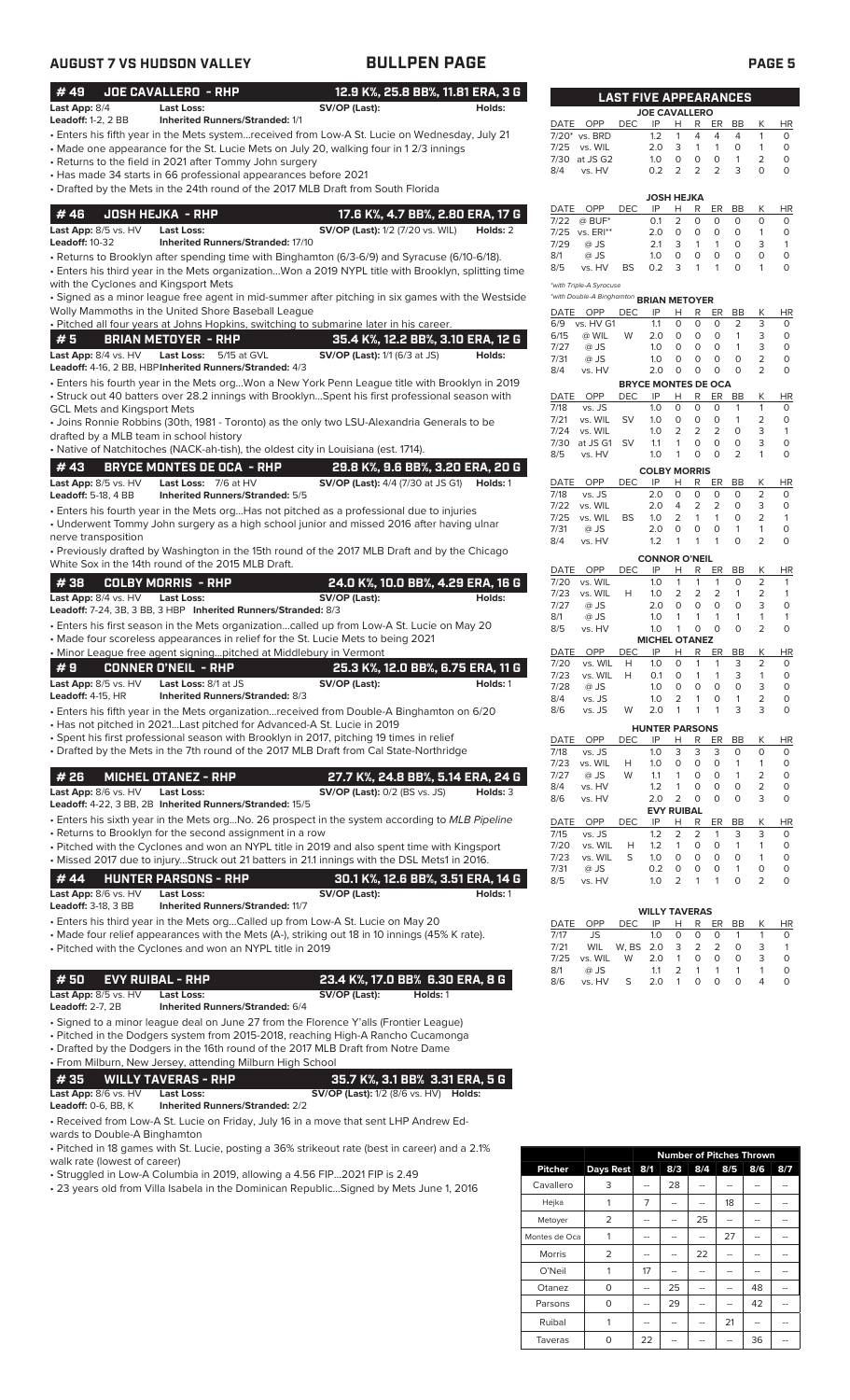## **AUGUST 7 VS HUDSON VALLEY BULLPEN PAGE PAGE 5**

| # 49                                               | <b>JOE CAVALLERO - RHP</b>                                             | 12.9 K%, 25.8 BB%, 11.81 ERA, 3 G                                                                                                                                    |              |                                                     |                | <b>LAST FIVE APPEARANCES</b>      |                                |                         |                           |                              |                                |                         |
|----------------------------------------------------|------------------------------------------------------------------------|----------------------------------------------------------------------------------------------------------------------------------------------------------------------|--------------|-----------------------------------------------------|----------------|-----------------------------------|--------------------------------|-------------------------|---------------------------|------------------------------|--------------------------------|-------------------------|
| Last App: 8/4                                      | <b>Last Loss:</b>                                                      | SV/OP (Last):<br>Holds:                                                                                                                                              |              |                                                     |                | <b>JOE CAVALLERO</b>              |                                |                         |                           |                              |                                |                         |
| <b>Leadoff: 1-2, 2 BB</b>                          | <b>Inherited Runners/Stranded: 1/1</b>                                 | Enters his fifth year in the Mets systemreceived from Low-A St. Lucie on Wednesday, July 21                                                                          |              | DATE OPP                                            | <b>DEC</b>     | IP                                | H                              | R                       | ER                        | BB                           | К<br>$\mathbf{1}$              | <b>HR</b>               |
|                                                    |                                                                        | • Made one appearance for the St. Lucie Mets on July 20, walking four in 12/3 innings                                                                                | 7/25         | 7/20* vs. BRD<br>vs. WIL                            |                | 1.2<br>2.0                        | $\mathbf{1}$<br>3              | 4<br>$\mathbf{1}$       | 4<br>$\mathbf{1}$         | 4<br>0                       | $\mathbf{1}$                   | 0<br>$\circ$            |
|                                                    | • Returns to the field in 2021 after Tommy John surgery                |                                                                                                                                                                      |              | 7/30 at JS G2                                       |                | 1.0                               | 0                              | 0                       | 0                         | $\mathbf{1}$                 | $\overline{2}$                 | $\circ$                 |
|                                                    | • Has made 34 starts in 66 professional appearances before 2021        |                                                                                                                                                                      | 8/4          | vs. HV                                              |                | 0.2                               | 2                              | 2                       | 2                         | 3                            | $\circ$                        | $\mathbf 0$             |
|                                                    |                                                                        | • Drafted by the Mets in the 24th round of the 2017 MLB Draft from South Florida                                                                                     |              |                                                     |                |                                   | JOSH HEJKA                     |                         |                           |                              |                                |                         |
| #46                                                | <b>JOSH HEJKA - RHP</b>                                                | 17.6 K%, 4.7 BB%, 2.80 ERA, 17 G                                                                                                                                     | DATE<br>7/22 | OPP<br>$@$ BUF*                                     | <b>DEC</b>     | IP<br>0.1                         | н<br>2                         | R<br>0                  | ER<br>0                   | BB<br>0                      | К<br>$\circ$                   | HR<br>$\circ$           |
| Last App: 8/5 vs. HV                               | <b>Last Loss:</b><br><b>Inherited Runners/Stranded: 17/10</b>          | <b>SV/OP (Last):</b> 1/2 (7/20 vs. WIL)<br>Holds: 2                                                                                                                  |              | 7/25 vs. ERI**                                      |                | 2.0                               | $\circ$                        | 0                       | 0                         | 0                            | $\mathbf{1}$                   | $\circ$                 |
| <b>Leadoff: 10-32</b>                              |                                                                        | • Returns to Brooklyn after spending time with Binghamton (6/3-6/9) and Syracuse (6/10-6/18).                                                                        | 7/29<br>8/1  | @ JS<br>@ JS                                        |                | 2.1<br>1.0                        | 3<br>$\circ$                   | $\mathbf{1}$<br>$\circ$ | $\mathbf{1}$<br>$\circ$   | 0<br>$\circ$                 | 3<br>$\circ$                   | $\mathbf{1}$<br>$\circ$ |
|                                                    |                                                                        | . Enters his third year in the Mets organizationWon a 2019 NYPL title with Brooklyn, splitting time                                                                  | 8/5          | vs. HV                                              | <b>BS</b>      | 0.2                               | 3                              | $\mathbf{1}$            | 1                         | $\Omega$                     | $\mathbf{1}$                   | $\circ$                 |
| with the Cyclones and Kingsport Mets               |                                                                        |                                                                                                                                                                      |              | *with Triple-A Syracuse                             |                |                                   |                                |                         |                           |                              |                                |                         |
|                                                    | Wolly Mammoths in the United Shore Baseball League                     | · Signed as a minor league free agent in mid-summer after pitching in six games with the Westside                                                                    |              | *with Double-A Binghamton BRIAN METOYER<br>DATE OPP | DEC            | IP                                | Н                              | R.                      | ER                        | BB                           | К                              | ΗR                      |
|                                                    |                                                                        | . Pitched all four years at Johns Hopkins, switching to submarine later in his career.                                                                               | 6/9          | vs. HV G1                                           |                | 1.1                               | 0                              | 0                       | $\circ$                   | 2                            | 3                              | $\circ$                 |
| #5                                                 | <b>BRIAN METOYER - RHP</b>                                             | 35.4 K%, 12.2 BB%, 3.10 ERA, 12 G                                                                                                                                    | 6/15<br>7/27 | @ WIL<br>@ JS                                       | W              | 2.0<br>1.0                        | $\circ$<br>$\circ$             | 0<br>$\circ$            | 0<br>$\circ$              | $\mathbf{1}$<br>$\mathbf{1}$ | 3<br>3                         | $\circ$<br>$\circ$      |
| Last App: 8/4 vs. HV                               | <b>Last Loss:</b><br>5/15 at GVL                                       | <b>SV/OP (Last):</b> 1/1 (6/3 at JS)<br>Holds:                                                                                                                       | 7/31         | @ JS                                                |                | 1.0                               | $\circ$                        | $\circ$                 | 0                         | $\circ$                      | $\overline{2}$                 | $\circ$                 |
|                                                    | Leadoff: 4-16, 2 BB, HBP Inherited Runners/Stranded: 4/3               | · Enters his fourth year in the Mets orgWon a New York Penn League title with Brooklyn in 2019                                                                       | 8/4          | vs. HV                                              |                | 2.0<br><b>BRYCE MONTES DE OCA</b> | 0                              | 0                       | 0                         | $\circ$                      | 2                              | $\circ$                 |
|                                                    |                                                                        | • Struck out 40 batters over 28.2 innings with BrooklynSpent his first professional season with                                                                      |              | DATE OPP                                            | <b>DEC</b>     | IP                                | н                              | R                       | ER                        | BB                           | К                              | <b>HR</b>               |
| <b>GCL Mets and Kingsport Mets</b>                 |                                                                        |                                                                                                                                                                      | 7/18         | vs. JS                                              |                | 1.0                               | $\circ$                        | $\circ$                 | O                         | $\mathbf{1}$                 | $\mathbf{1}$                   | $\circ$<br>$\circ$      |
| drafted by a MLB team in school history            |                                                                        | • Joins Ronnie Robbins (30th, 1981 - Toronto) as the only two LSU-Alexandria Generals to be                                                                          | 7/21<br>7/24 | vs. WIL<br>vs. WIL                                  | <b>SV</b>      | 1.0<br>1.0                        | 0<br>$\overline{2}$            | 0<br>2                  | 0<br>$\overline{2}$       | $\mathbf{1}$<br>$\circ$      | 2<br>3                         | $\mathbf{1}$            |
|                                                    |                                                                        | • Native of Natchitoches (NACK-ah-tish), the oldest city in Louisiana (est. 1714).                                                                                   | 7/30         | at JS G1                                            | - SV           | 1.1                               | $\mathbf{1}$                   | 0                       | 0                         | 0<br>$\overline{2}$          | 3<br>$\mathbf{1}$              | $\mathbf 0$             |
| #43                                                | <b>BRYCE MONTES DE OCA - RHP</b>                                       | 29.8 K%, 9.6 BB%, 3.20 ERA, 20 G                                                                                                                                     | 8/5          | vs. HV                                              |                | 1.0                               | $\mathbf{1}$                   | 0                       | $\circ$                   |                              |                                | $\circ$                 |
| Last App: 8/5 vs. HV                               | Last Loss: 7/6 at HV                                                   | <b>SV/OP (Last):</b> 4/4 (7/30 at JS G1)<br>Holds: 1                                                                                                                 | DATE         | OPP                                                 | <b>DEC</b>     | <b>COLBY MORRIS</b><br>IP         | Н                              | R                       | ER                        | BB                           | К                              | <b>HR</b>               |
| <b>Leadoff: 5-18, 4 BB</b>                         | Inherited Runners/Stranded: 5/5                                        |                                                                                                                                                                      | 7/18         | vs. JS                                              |                | 2.0                               | $\circ$                        | 0                       | $\circ$                   | 0                            | 2                              | 0                       |
|                                                    |                                                                        | • Enters his fourth year in the Mets orgHas not pitched as a professional due to injuries                                                                            | 7/22<br>7/25 | vs. WIL<br>vs. WIL                                  | <b>BS</b>      | 2.0<br>1.0                        | 4<br>2                         | 2<br>$\mathbf{1}$       | 2<br>1                    | 0<br>0                       | 3<br>2                         | $\circ$<br>$\mathbf{1}$ |
| nerve transposition                                |                                                                        | • Underwent Tommy John surgery as a high school junior and missed 2016 after having ulnar                                                                            | 7/31         | $@$ JS                                              |                | 2.0                               | $\circ$                        | 0                       | $\circ$                   | $\mathbf{1}$                 | $\mathbf{1}$                   | $\circ$                 |
|                                                    |                                                                        | • Previously drafted by Washington in the 15th round of the 2017 MLB Draft and by the Chicago                                                                        | 8/4          | vs. HV                                              |                | 1.2                               | 1                              | $\mathbf{1}$            | 1                         | O                            | $\overline{2}$                 | $\Omega$                |
|                                                    | White Sox in the 14th round of the 2015 MLB Draft.                     |                                                                                                                                                                      | DATE         | OPP                                                 | <b>DEC</b>     | <b>CONNOR O'NEIL</b><br>IP        | Н                              | R                       | ER                        | BB                           | К                              | HR                      |
| #38                                                | <b>COLBY MORRIS - RHP</b>                                              | 24.0 K%, 10.0 BB%, 4.29 ERA, 16 G                                                                                                                                    | 7/20         | vs. WIL                                             |                | 1.0                               | $\mathbf{1}$                   | 1                       | $\mathbf{1}$              | 0                            | $\overline{2}$                 | $\mathbf{1}$            |
| Last App: 8/4 vs. HV                               | <b>Last Loss:</b>                                                      | SV/OP (Last):<br>Holds:                                                                                                                                              | 7/23<br>7/27 | vs. WIL<br>@ JS                                     | H              | 1.0<br>2.0                        | 2<br>$\circ$                   | 2<br>$\circ$            | $\overline{2}$<br>$\circ$ | $\mathbf{1}$<br>$\circ$      | 2<br>3                         | $\mathbf{1}$<br>$\circ$ |
|                                                    | Leadoff: 7-24, 3B, 3 BB, 3 HBP Inherited Runners/Stranded: 8/3         | • Enters his first season in the Mets organizationcalled up from Low-A St. Lucie on May 20                                                                           | 8/1          | @ JS                                                |                | 1.0                               | $\mathbf{1}$                   | $\mathbf{1}$            | $\mathbf{1}$              | $\mathbf{1}$                 | $\mathbf{1}$                   | $\mathbf{1}$            |
|                                                    |                                                                        | • Made four scoreless appearances in relief for the St. Lucie Mets to being 2021                                                                                     | 8/5          | vs. HV                                              |                | 1.0<br><b>MICHEL OTANEZ</b>       | $\mathbf{1}$                   | $\circ$                 | $\circ$                   | $\Omega$                     | 2                              | $\circ$                 |
|                                                    | • Minor League free agent signingpitched at Middlebury in Vermont      |                                                                                                                                                                      | DATE         | OPP                                                 | <b>DEC</b>     | IP                                | Н                              | R                       | ER                        | <b>BB</b>                    | К                              | HR                      |
| #9                                                 | <b>CONNER O'NEIL - RHP</b>                                             | 25.3 K%, 12.0 BB%, 6.75 ERA, 11 G                                                                                                                                    | 7/20<br>7/23 | vs. WIL<br>vs. WIL                                  | H<br>H         | 1.0<br>0.1                        | $\circ$<br>0                   | 1<br>$\mathbf{1}$       | 1<br>$\mathbf{1}$         | 3<br>3                       | $\overline{2}$<br>$\mathbf{1}$ | 0<br>$\circ$            |
| Last App: 8/5 vs. HV<br>Leadoff: 4-15, HR          | Last Loss: 8/1 at JS<br><b>Inherited Runners/Stranded: 8/3</b>         | SV/OP (Last):<br>Holds: 1                                                                                                                                            | 7/28         | @ JS                                                |                | 1.0                               | $\circ$                        | $\circ$                 | $\circ$                   | $\Omega$                     | 3                              | $\Omega$                |
|                                                    |                                                                        | • Enters his fifth year in the Mets organizationreceived from Double-A Binghamton on 6/20                                                                            | 8/4<br>8/6   | vs. JS<br>vs. JS                                    | W              | 1.0<br>2.0                        | 2<br>$\mathbf{1}$              | 1<br>1                  | 0<br>1                    | $\mathbf{1}$<br>3            | $\overline{2}$<br>3            | 0<br>$\circ$            |
|                                                    | • Has not pitched in 2021Last pitched for Advanced-A St. Lucie in 2019 |                                                                                                                                                                      |              |                                                     |                | <b>HUNTER PARSONS</b>             |                                |                         |                           |                              |                                |                         |
|                                                    |                                                                        | · Spent his first professional season with Brooklyn in 2017, pitching 19 times in relief                                                                             | DATE         | OPP                                                 | <b>DEC</b>     | IP                                | н                              | R                       | ER                        | BB                           | К                              | HR                      |
|                                                    |                                                                        | • Drafted by the Mets in the 7th round of the 2017 MLB Draft from Cal State-Northridge                                                                               | 7/18<br>7/23 | vs. JS<br>vs. WIL                                   | Н              | 1.0<br>1.0                        | 3<br>0                         | 3<br>0                  | 3<br>0                    | 0<br>1                       | 0<br>$\mathbf{1}$              | 0<br>0                  |
| #26                                                | <b>MICHEL OTANEZ - RHP</b>                                             | 27.7 K%, 24.8 BB%, 5.14 ERA, 24 G                                                                                                                                    | 7/27         | @ JS                                                | W              | 1.1                               | $\mathbf{1}$                   | 0                       | 0                         | $\mathbf{1}$                 | 2                              | $\circ$                 |
| Last App: 8/6 vs. HV                               | <b>Last Loss:</b>                                                      | <b>SV/OP (Last):</b> 0/2 (BS vs. JS)<br>Holds: 3                                                                                                                     | 8/4<br>8/6   | vs. HV<br>vs. HV                                    |                | 1.2<br>2.0                        | $\mathbf{1}$<br>$\overline{2}$ | 0<br>0                  | 0<br>0                    | 0<br>O                       | 2<br>3                         | 0<br>$\mathbf 0$        |
|                                                    | Leadoff: 4-22, 3 BB, 2B Inherited Runners/Stranded: 15/5               | • Enters his sixth year in the Mets orgNo. 26 prospect in the system according to MLB Pipeline                                                                       |              |                                                     |                |                                   | <b>EVY RUIBAL</b>              |                         |                           |                              |                                |                         |
|                                                    | • Returns to Brooklyn for the second assignment in a row               |                                                                                                                                                                      | DATE<br>7/15 | OPP<br>vs. JS                                       | <b>DEC</b>     | IP<br>1.2                         | н<br>2                         | R<br>2                  | ER<br>$\mathbf{1}$        | BB<br>3                      | К<br>3                         | ΗR<br>0                 |
|                                                    |                                                                        | • Pitched with the Cyclones and won an NYPL title in 2019 and also spent time with Kingsport                                                                         | 7/20         | vs. WIL                                             | Н              | 1.2                               | $\mathbf{1}$                   | 0                       | 0                         | $\mathbf{1}$                 | $\mathbf{1}$                   | 0                       |
|                                                    |                                                                        | • Missed 2017 due to injuryStruck out 21 batters in 21.1 innings with the DSL Mets1 in 2016.                                                                         | 7/23<br>7/31 | vs. WIL<br>@ JS                                     | S              | 1.0<br>0.2                        | $\circ$<br>0                   | 0<br>0                  | 0<br>0                    | 0<br>$\mathbf{1}$            | $\mathbf{1}$<br>0              | 0<br>0                  |
| # 44                                               | <b>HUNTER PARSONS - RHP</b>                                            | 30.1 K%, 12.6 BB%, 3.51 ERA, 14 G                                                                                                                                    | 8/5          | vs. HV                                              |                | 1.0                               | 2                              | $\mathbf{1}$            | $\mathbf{1}$              | $\circ$                      | 2                              | $\circ$                 |
| Last App: 8/6 vs. HV<br><b>Leadoff: 3-18, 3 BB</b> | <b>Last Loss:</b><br><b>Inherited Runners/Stranded: 11/7</b>           | SV/OP (Last):<br>Holds: 1                                                                                                                                            |              |                                                     |                |                                   |                                |                         |                           |                              |                                |                         |
|                                                    |                                                                        | • Enters his third year in the Mets orgCalled up from Low-A St. Lucie on May 20                                                                                      | DATE         | OPP                                                 | <b>DEC</b>     | <b>WILLY TAVERAS</b><br>IP        | Н                              | R                       | ER                        | BB                           | К                              | <b>HR</b>               |
|                                                    |                                                                        | • Made four relief appearances with the Mets (A-), striking out 18 in 10 innings (45% K rate).                                                                       | 7/17         | JS                                                  |                | 1.0                               | 0                              | 0                       | 0                         | $\mathbf{1}$                 | $\mathbf{1}$                   | 0                       |
|                                                    | • Pitched with the Cyclones and won an NYPL title in 2019              |                                                                                                                                                                      | 7/21<br>7/25 | WIL<br>vs. WIL                                      | W, BS 2.0<br>W | 2.0                               | 3<br>$\mathbf{1}$              | 2<br>0                  | $\overline{2}$<br>0       | 0<br>0                       | 3<br>3                         | $\mathbf{1}$<br>$\circ$ |
| #50                                                |                                                                        |                                                                                                                                                                      | 8/1          | @ JS                                                |                | 1.1                               | 2                              | $\mathbf{1}$            | $\mathbf{1}$              | $\mathbf{1}$                 | $\mathbf{1}$                   | 0                       |
| Last App: 8/5 vs. HV                               | <b>EVY RUIBAL - RHP</b><br><b>Last Loss:</b>                           | 23.4 K%, 17.0 BB% 6.30 ERA, 8 G<br>SV/OP (Last):<br>Holds: 1                                                                                                         | 8/6          | vs. HV                                              | S              | 2.0                               | $\mathbf{1}$                   | 0                       | 0                         | $\circ$                      | $\overline{4}$                 | $\circ$                 |
| <b>Leadoff: 2-7, 2B</b>                            | Inherited Runners/Stranded: 6/4                                        |                                                                                                                                                                      |              |                                                     |                |                                   |                                |                         |                           |                              |                                |                         |
|                                                    |                                                                        | · Signed to a minor league deal on June 27 from the Florence Y'alls (Frontier League)                                                                                |              |                                                     |                |                                   |                                |                         |                           |                              |                                |                         |
|                                                    |                                                                        | • Pitched in the Dodgers system from 2015-2018, reaching High-A Rancho Cucamonga<br>• Drafted by the Dodgers in the 16th round of the 2017 MLB Draft from Notre Dame |              |                                                     |                |                                   |                                |                         |                           |                              |                                |                         |
|                                                    | • From Milburn, New Jersey, attending Milburn High School              |                                                                                                                                                                      |              |                                                     |                |                                   |                                |                         |                           |                              |                                |                         |
| #35                                                | <b>WILLY TAVERAS - RHP</b>                                             | 35.7 K%, 3.1 BB% 3.31 ERA, 5 G                                                                                                                                       |              |                                                     |                |                                   |                                |                         |                           |                              |                                |                         |
| Last App: 8/6 vs. HV                               | <b>Last Loss:</b>                                                      | <b>SV/OP (Last):</b> 1/2 (8/6 vs. HV) <b>Holds:</b>                                                                                                                  |              |                                                     |                |                                   |                                |                         |                           |                              |                                |                         |
| Leadoff: 0-6, BB, K                                | <b>Inherited Runners/Stranded: 2/2</b>                                 |                                                                                                                                                                      |              |                                                     |                |                                   |                                |                         |                           |                              |                                |                         |
| wards to Double-A Binghamton                       |                                                                        | • Received from Low-A St. Lucie on Friday, July 16 in a move that sent LHP Andrew Ed-                                                                                |              |                                                     |                |                                   |                                |                         |                           |                              |                                |                         |

• Pitched in 18 games with St. Lucie, posting a 36% strikeout rate (best in career) and a 2.1% walk rate (lowest of career)

• Struggled in Low-A Columbia in 2019, allowing a 4.56 FIP...2021 FIP is 2.49

• 23 years old from Villa Isabela in the Dominican Republic...Signed by Mets June 1, 2016

|                |                | <b>Number of Pitches Thrown</b> |     |     |     |     |     |  |  |  |  |  |
|----------------|----------------|---------------------------------|-----|-----|-----|-----|-----|--|--|--|--|--|
| <b>Pitcher</b> | Days Rest      | 8/1                             | 8/3 | 8/4 | 8/5 | 8/6 | 8/7 |  |  |  |  |  |
| Cavallero      | 3              |                                 | 28  |     |     |     |     |  |  |  |  |  |
| Hejka          | 1              | 7                               | --  |     | 18  | --  |     |  |  |  |  |  |
| Metoyer        | $\overline{2}$ | --                              | --  | 25  | --  | --  |     |  |  |  |  |  |
| Montes de Oca  | 1              | --                              | --  | --  | 27  | --  |     |  |  |  |  |  |
| <b>Morris</b>  | $\overline{2}$ |                                 |     | 22  |     |     |     |  |  |  |  |  |
| O'Neil         | 1              | 17                              | --  |     | --  | --  |     |  |  |  |  |  |
| Otanez         | 0              |                                 | 25  |     |     | 48  |     |  |  |  |  |  |
| Parsons        | 0              | --                              | 29  |     | --  | 42  |     |  |  |  |  |  |
| Ruibal         | 1              | --                              | --  |     | 21  | --  |     |  |  |  |  |  |
| Taveras        | 0              | 22                              |     |     |     | 36  |     |  |  |  |  |  |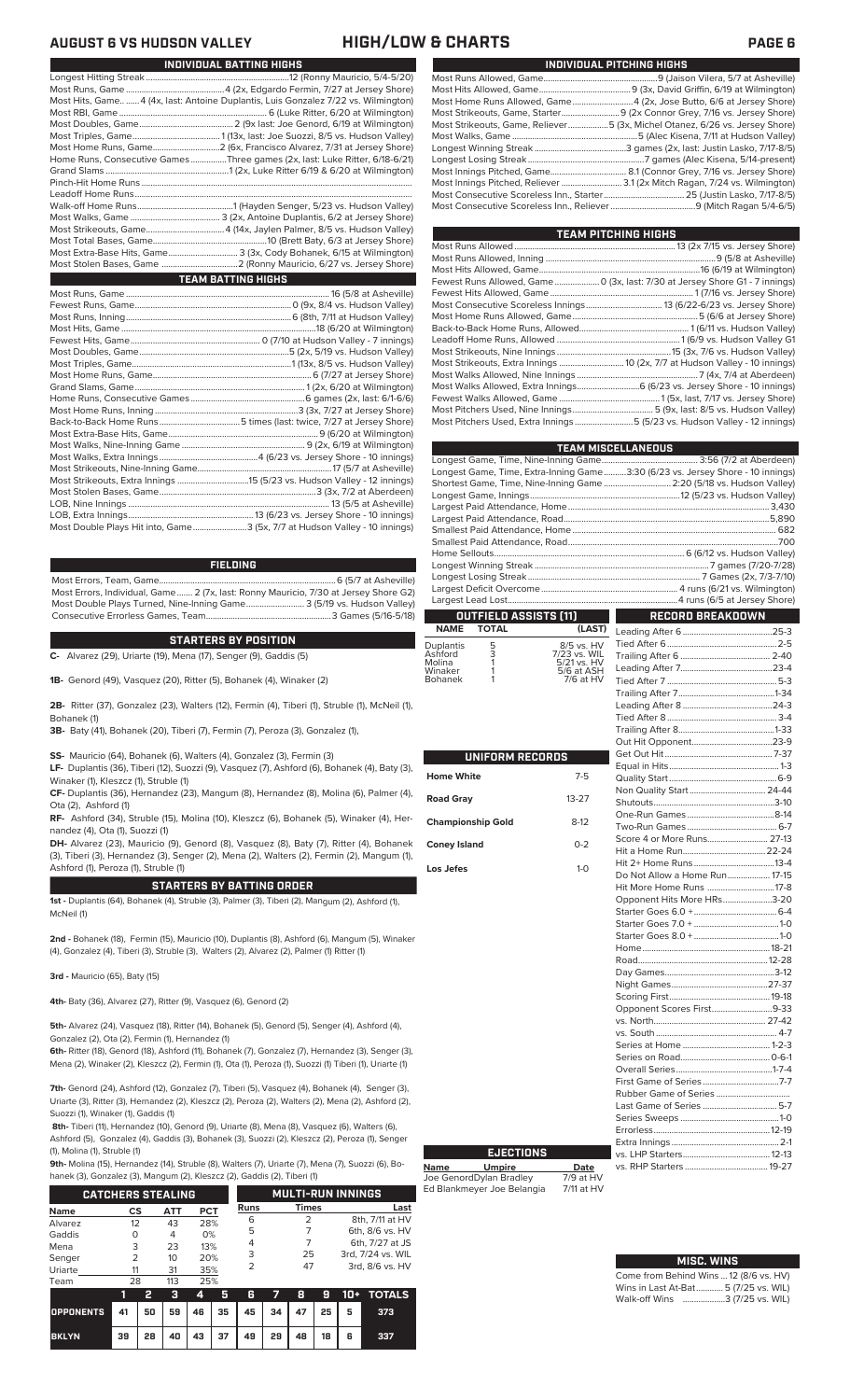## **AUGUST 6 VS HUDSON VALLEY HIGH/LOW & CHARTS PAGE 6**

| INDIVIDUAL BATTING HIGHS                                                            |
|-------------------------------------------------------------------------------------|
|                                                                                     |
|                                                                                     |
| Most Hits, Game  4 (4x, last: Antoine Duplantis, Luis Gonzalez 7/22 vs. Wilmington) |
|                                                                                     |
|                                                                                     |
|                                                                                     |
|                                                                                     |
| Home Runs, Consecutive Games Three games (2x, last: Luke Ritter, 6/18-6/21)         |
|                                                                                     |
|                                                                                     |
|                                                                                     |
|                                                                                     |
|                                                                                     |
|                                                                                     |
|                                                                                     |
| Most Extra-Base Hits, Game 3 (3x, Cody Bohanek, 6/15 at Wilmington)                 |
|                                                                                     |
| <b>TEAM BATTING HIGHS</b>                                                           |
|                                                                                     |
|                                                                                     |
|                                                                                     |
|                                                                                     |
|                                                                                     |
|                                                                                     |
|                                                                                     |
|                                                                                     |

| Most Double Plays Hit into, Game3 (5x, 7/7 at Hudson Valley - 10 innings) |  |
|---------------------------------------------------------------------------|--|

### **FIELDING**

Most Errors, Team, Game...............................................................................6 (5/7 at Asheville) Most Errors, Individual, Game....... 2 (7x, last: Ronny Mauricio, 7/30 at Jersey Shore G2) Most Double Plays Turned, Nine-Inning Game.......................... 3 (5/19 vs. Hudson Valley) Consecutive Errorless Games, Team...

## **STARTERS BY POSITION**

**C-** Alvarez (29), Uriarte (19), Mena (17), Senger (9), Gaddis (5)

**1B-** Genord (49), Vasquez (20), Ritter (5), Bohanek (4), Winaker (2)

**2B-** Ritter (37), Gonzalez (23), Walters (12), Fermin (4), Tiberi (1), Struble (1), McNeil (1), Bohanek (1)

**3B-** Baty (41), Bohanek (20), Tiberi (7), Fermin (7), Peroza (3), Gonzalez (1),

**SS-** Mauricio (64), Bohanek (6), Walters (4), Gonzalez (3), Fermin (3)

**LF-** Duplantis (36), Tiberi (12), Suozzi (9), Vasquez (7), Ashford (6), Bohanek (4), Baty (3), Winaker (1), Kleszcz (1), Struble (1)

**CF-** Duplantis (36), Hernandez (23), Mangum (8), Hernandez (8), Molina (6), Palmer (4), Ota (2), Ashford (1)

**RF-** Ashford (34), Struble (15), Molina (10), Kleszcz (6), Bohanek (5), Winaker (4), Hernandez (4), Ota (1), Suozzi (1)

**DH-** Alvarez (23), Mauricio (9), Genord (8), Vasquez (8), Baty (7), Ritter (4), Bohanek (3), Tiberi (3), Hernandez (3), Senger (2), Mena (2), Walters (2), Fermin (2), Mangum (1), Ashford (1), Peroza (1), Struble (1)

### **STARTERS BY BATTING ORDER**

**1st -** Duplantis (64), Bohanek (4), Struble (3), Palmer (3), Tiberi (2), Mangum (2), Ashford (1), McNeil (1)

**2nd -** Bohanek (18), Fermin (15), Mauricio (10), Duplantis (8), Ashford (6), Mangum (5), Winaker (4), Gonzalez (4), Tiberi (3), Struble (3), Walters (2), Alvarez (2), Palmer (1) Ritter (1)

**3rd -** Mauricio (65), Baty (15)

**4th-** Baty (36), Alvarez (27), Ritter (9), Vasquez (6), Genord (2)

**5th-** Alvarez (24), Vasquez (18), Ritter (14), Bohanek (5), Genord (5), Senger (4), Ashford (4), Gonzalez (2), Ota (2), Fermin (1), Hernandez (1)

**6th-** Ritter (18), Genord (18), Ashford (11), Bohanek (7), Gonzalez (7), Hernandez (3), Senger (3), Mena (2), Winaker (2), Kleszcz (2), Fermin (1), Ota (1), Peroza (1), Suozzi (1) Tiberi (1), Uriarte (1)

**7th-** Genord (24), Ashford (12), Gonzalez (7), Tiberi (5), Vasquez (4), Bohanek (4), Senger (3), Uriarte (3), Ritter (3), Hernandez (2), Kleszcz (2), Peroza (2), Walters (2), Mena (2), Ashford (2), Suozzi (1), Winaker (1), Gaddis (1)

**8th-** Tiberi (11), Hernandez (10), Genord (9), Uriarte (8), Mena (8), Vasquez (6), Walters (6), Ashford (5), Gonzalez (4), Gaddis (3), Bohanek (3), Suozzi (2), Kleszcz (2), Peroza (1), Senger (1), Molina (1), Struble (1)

**9th-** Molina (15), Hernandez (14), Struble (8), Walters (7), Uriarte (7), Mena (7), Suozzi (6), Bo-<br>banek (3), Gonzalez (3), Mangum (2), Kleszcz (2), Gaddis (2), Tiberi (1)

| hanek (3), Gonzalez (3), Mangum (2), Kleszcz (2), Gaddis (2), Tiberi (1) |                   |                            |                                                            |              |                          |  |  |  |  |  |  |  |
|--------------------------------------------------------------------------|-------------------|----------------------------|------------------------------------------------------------|--------------|--------------------------|--|--|--|--|--|--|--|
|                                                                          |                   |                            |                                                            |              |                          |  |  |  |  |  |  |  |
| <b>CS</b>                                                                |                   |                            | Runs                                                       | <b>Times</b> | Last                     |  |  |  |  |  |  |  |
|                                                                          |                   |                            | 6                                                          | 2            | 8th, 7/11 at HV          |  |  |  |  |  |  |  |
|                                                                          |                   |                            | 5                                                          |              | 6th, 8/6 vs. HV          |  |  |  |  |  |  |  |
|                                                                          |                   |                            | 4                                                          |              | 6th, 7/27 at JS          |  |  |  |  |  |  |  |
|                                                                          |                   |                            | 3                                                          | 25           | 3rd, 7/24 vs. WIL        |  |  |  |  |  |  |  |
|                                                                          | 31                | 35%                        |                                                            | 47           | 3rd, 8/6 vs. HV          |  |  |  |  |  |  |  |
|                                                                          | 12<br>O<br>3<br>フ | АТТ<br>43<br>4<br>23<br>10 | <b>CATCHERS STEALING</b><br>PCT<br>28%<br>0%<br>13%<br>20% |              | <b>MULTI-RUN INNINGS</b> |  |  |  |  |  |  |  |

| Team                                                     | 28 |      | 113 | 25% |     |                                  |               |  |   |                               |
|----------------------------------------------------------|----|------|-----|-----|-----|----------------------------------|---------------|--|---|-------------------------------|
|                                                          |    |      | -3  | 4   | - 5 | в                                | $\sim$ $\sim$ |  |   | <b>8 9 10</b> + <b>TOTALS</b> |
| OPPONENTS 41   50   59   46   35   45   34   47   25   5 |    |      |     |     |     |                                  |               |  |   | 373                           |
| <b>BKLYN</b>                                             | 39 | 28 I |     |     |     | 40   43   37   49   29   48   18 |               |  | 6 | 337                           |

|  | INDIVIDUAL PITCHING HIGHS                                                   |
|--|-----------------------------------------------------------------------------|
|  |                                                                             |
|  |                                                                             |
|  | Most Home Runs Allowed, Game4 (2x, Jose Butto, 6/6 at Jersey Shore)         |
|  |                                                                             |
|  | Most Strikeouts, Game, Reliever5 (3x, Michel Otanez, 6/26 vs. Jersey Shore) |
|  |                                                                             |
|  |                                                                             |
|  |                                                                             |
|  |                                                                             |
|  |                                                                             |
|  |                                                                             |
|  |                                                                             |

| TEAM PITCHING HIGHS                                                                    |  |
|----------------------------------------------------------------------------------------|--|
|                                                                                        |  |
|                                                                                        |  |
|                                                                                        |  |
| Fewest Runs Allowed, Game  0 (3x, last: 7/30 at Jersey Shore G1 - 7 innings)           |  |
|                                                                                        |  |
|                                                                                        |  |
|                                                                                        |  |
|                                                                                        |  |
|                                                                                        |  |
| Most Strikeouts, Nine Innings …………………………………………………………………15 (3x, 7/6 vs. Hudson Valley)  |  |
| Most Strikeouts, Extra Innings  10 (2x, 7/7 at Hudson Valley - 10 innings)             |  |
|                                                                                        |  |
| Most Walks Allowed, Extra Innings 6 (6/23 vs. Jersey Shore - 10 innings)               |  |
|                                                                                        |  |
| Most Pitchers Used, Nine Innings…………………………………………………5 (9x, last: 8/5 vs. Hudson Valley) |  |
| Most Pitchers Used, Extra Innings5 (5/23 vs. Hudson Valley - 12 innings)               |  |
|                                                                                        |  |

|                                                                                | <b>TEAM MISCELLANEOUS</b> |
|--------------------------------------------------------------------------------|---------------------------|
|                                                                                |                           |
| Longest Game, Time, Extra-Inning Game3:30 (6/23 vs. Jersey Shore - 10 innings) |                           |
| Shortest Game, Time, Nine-Inning Game  2:20 (5/18 vs. Hudson Valley)           |                           |
|                                                                                |                           |
|                                                                                |                           |
|                                                                                |                           |
|                                                                                |                           |
|                                                                                |                           |
|                                                                                |                           |
|                                                                                |                           |
|                                                                                |                           |
|                                                                                |                           |
|                                                                                |                           |
| <b>OUTFIELD ASSISTS [11]</b>                                                   | RECORD BREAKDOWN          |

## **NAME TOTAL (LAST)** Duplantis 5 8/5 vs. HV Ashford 3 7/23 vs. WIL Molina 1 5/21 vs. HV Winaker 1 5/6 at ASH

| ASHIVIU        | 7723 VS. VVIL   |
|----------------|-----------------|
| Molina         | $5/21$ vs. $HN$ |
| Winaker        | $5/6$ at ASH    |
| <b>Bohanek</b> | 7/6 at HV       |
|                |                 |

|                          |           | I              |
|--------------------------|-----------|----------------|
| UNIFORM RECORDS          |           | I              |
| <b>Home White</b>        | $7 - 5$   | l              |
| <b>Road Gray</b>         | $13 - 27$ | <br> <br> <br> |
| <b>Championship Gold</b> | $8-12$    |                |
| <b>Coney Island</b>      | $0 - 2$   | $\ddot{\cdot}$ |
| Los Jefes                | $1-0$     | I<br>l         |
|                          |           | I              |
|                          |           |                |
|                          |           |                |
|                          |           |                |
|                          |           |                |
|                          |           | I              |
|                          |           | Į              |
|                          |           | l              |
|                          |           |                |
|                          |           |                |
|                          |           |                |
|                          |           |                |
|                          |           | ا<br>د مند ه   |
|                          |           |                |
|                          |           | I              |
|                          |           | I              |
|                          |           | í              |
|                          |           |                |

**Name Umpire Date** Joe GenordDylan Bradley 7/9 at HV Ed Blankmeyer Joe Belangia 7/11 at HV

**EJECTIONS**

### Tied After 6.................................................2-5 Trailing After 6 ........................................ 2-40 Leading After 7.........................................23-4 Tied After 7. Trailing After 7...........................................1-34 Leading After 8 ........................................24-3 Tied After 8. Trailing After 8...........................................1-33 Out Hit Opponent. Get Out Hit................................................ 7-37 Equal in Hits.................................................1-3 Quality Start ................................................6-9 Non Quality Start.................................. 24-44 Shutouts. One-Run Games .......................................8-14 Two-Run Games ........................................ 6-7 Score 4 or More Runs.. Hit a Home Run.....................................22-24 Hit 2+ Home Runs. Do Not Allow a Home Run................... <mark>17-15</mark><br>Hit More Home Runs ..............................17-8 Hit More Home Runs ..............................17-8 Opponent Hits More HRs. Starter Goes 6.0 +.....................................6-4 Starter Goes 7.0 + ......................................1-0 Starter Goes 8.0 + ......................................1-0 Home<mark>.......</mark><br>Road........ Post 12-28 Day Games.................................................3-12 Night Games...........................................27-37 Scoring First.............................................19-18 Opponent Scores First.................................9-33<br>27-42 vs. North.................................................. 27-42 vs. South ...................................................... 4-7 Series at Home .. Series on Road........................................0-6-1 Overall Series...........................................1-7-4 First Game of Series Rubber Game of Series ................................. Last Game of Series ................................. 5-7 Series Sweeps ............................................1-0 Errorless....................................................12-19 Extra Innings... vs. LHP Starters.......................................12-13 vs. RHP Starters ...

Leading After 6........................................25-3

# **MISC. WINS**

| .                                      |
|----------------------------------------|
| Come from Behind Wins  12 (8/6 vs. HV) |
| Wins in Last At-Bat 5 (7/25 vs. WIL)   |
| Walk-off Wins 3 (7/25 vs. WIL)         |
|                                        |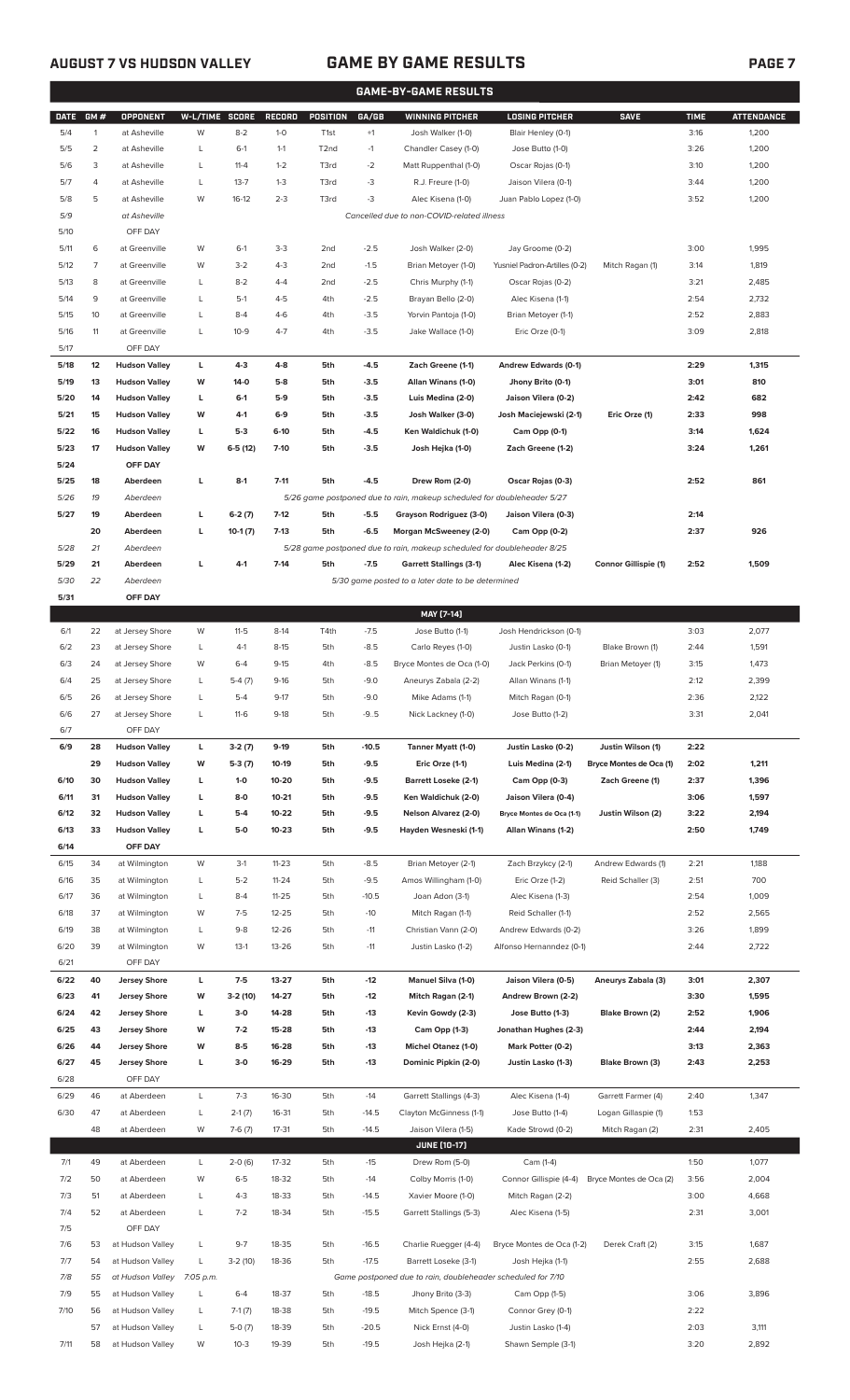## **AUGUST 7 VS HUDSON VALLEY GAME BY GAME RESULTS PAGE 7**

|             | <b>GAME-BY-GAME RESULTS</b> |                      |                |           |           |                  |         |                                                                         |                               |                             |             |                   |
|-------------|-----------------------------|----------------------|----------------|-----------|-----------|------------------|---------|-------------------------------------------------------------------------|-------------------------------|-----------------------------|-------------|-------------------|
| <b>DATE</b> | GM#                         | <b>OPPONENT</b>      | W-L/TIME SCORE |           | RECORD    | POSITION         | GA/GB   | <b>WINNING PITCHER</b>                                                  | <b>LOSING PITCHER</b>         | <b>SAVE</b>                 | <b>TIME</b> | <b>ATTENDANCE</b> |
| 5/4         | $\mathbf{1}$                | at Asheville         | W              | $8 - 2$   | $1 - 0$   | T <sub>1st</sub> | $+1$    | Josh Walker (1-0)                                                       | Blair Henley (0-1)            |                             | 3:16        | 1,200             |
| 5/5         | 2                           | at Asheville         | L              | $6-1$     | $1 - 1$   | T <sub>2nd</sub> | $-1$    | Chandler Casey (1-0)                                                    | Jose Butto (1-0)              |                             | 3:26        | 1,200             |
| 5/6         | 3                           | at Asheville         | L              | $11 - 4$  | $1 - 2$   | T3rd             | $-2$    | Matt Ruppenthal (1-0)                                                   | Oscar Rojas (0-1)             |                             | 3:10        | 1,200             |
| 5/7         | 4                           | at Asheville         | L              | $13 - 7$  | $1 - 3$   | T3rd             | -3      | R.J. Freure (1-0)                                                       | Jaison Vilera (0-1)           |                             | 3:44        | 1,200             |
| 5/8         | 5                           | at Asheville         | W              | $16-12$   | $2 - 3$   | T3rd             | -3      | Alec Kisena (1-0)                                                       | Juan Pablo Lopez (1-0)        |                             | 3:52        | 1,200             |
| 5/9         |                             | at Asheville         |                |           |           |                  |         | Cancelled due to non-COVID-related illness                              |                               |                             |             |                   |
| 5/10        |                             | OFF DAY              |                |           |           |                  |         |                                                                         |                               |                             |             |                   |
| 5/11        | 6                           | at Greenville        | W              | $6-1$     | $3-3$     | 2 <sub>nd</sub>  | $-2.5$  | Josh Walker (2-0)                                                       | Jay Groome (0-2)              |                             | 3:00        | 1,995             |
| 5/12        | 7                           | at Greenville        | W              | $3-2$     | $4 - 3$   | 2 <sub>nd</sub>  | $-1.5$  | Brian Metoyer (1-0)                                                     | Yusniel Padron-Artilles (0-2) | Mitch Ragan (1)             | 3:14        | 1,819             |
| 5/13        | 8                           | at Greenville        | L              | $8 - 2$   | $4 - 4$   | 2 <sub>nd</sub>  | $-2.5$  | Chris Murphy (1-1)                                                      | Oscar Rojas (0-2)             |                             | 3:21        | 2,485             |
| 5/14        | 9                           | at Greenville        | L              | $5-1$     | $4 - 5$   | 4th              | $-2.5$  | Brayan Bello (2-0)                                                      | Alec Kisena (1-1)             |                             | 2:54        | 2,732             |
| 5/15        | 10                          | at Greenville        | L              | $8 - 4$   | $4-6$     | 4th              | $-3.5$  | Yorvin Pantoja (1-0)                                                    | Brian Metoyer (1-1)           |                             | 2:52        | 2,883             |
| 5/16        | 11                          | at Greenville        | L              | $10-9$    | $4 - 7$   | 4th              | $-3.5$  | Jake Wallace (1-0)                                                      | Eric Orze (0-1)               |                             | 3:09        | 2,818             |
| 5/17        |                             | OFF DAY              |                |           |           |                  |         |                                                                         |                               |                             |             |                   |
| 5/18        | 12                          | <b>Hudson Valley</b> | L              | $4-3$     | $4 - 8$   | 5th              | $-4.5$  | Zach Greene (1-1)                                                       | Andrew Edwards (0-1)          |                             | 2:29        | 1,315             |
| 5/19        | 13                          | <b>Hudson Valley</b> | W              | 14-0      | $5-8$     | 5th              | $-3.5$  | Allan Winans (1-0)                                                      | Jhony Brito (0-1)             |                             | 3:01        | 810               |
| 5/20        | 14                          | <b>Hudson Valley</b> | L              | $6-1$     | $5-9$     | 5th              | $-3.5$  | Luis Medina (2-0)                                                       | Jaison Vilera (0-2)           |                             | 2:42        | 682               |
| 5/21        | 15                          | <b>Hudson Valley</b> | W              | 4-1       | $6-9$     | 5th              | $-3.5$  | Josh Walker (3-0)                                                       | Josh Maciejewski (2-1)        | Eric Orze (1)               | 2:33        | 998               |
|             |                             |                      |                | $5-3$     | $6-10$    |                  |         |                                                                         |                               |                             |             |                   |
| 5/22        | 16                          | <b>Hudson Valley</b> | L              |           |           | 5th              | $-4.5$  | Ken Waldichuk (1-0)                                                     | Cam Opp (0-1)                 |                             | 3:14        | 1,624             |
| 5/23        | 17                          | <b>Hudson Valley</b> | W              | $6-5(12)$ | $7-10$    | 5th              | $-3.5$  | Josh Hejka (1-0)                                                        | Zach Greene (1-2)             |                             | 3:24        | 1,261             |
| 5/24        |                             | OFF DAY              |                |           |           |                  |         |                                                                         |                               |                             |             |                   |
| 5/25        | 18                          | Aberdeen             | L              | $8-1$     | $7 - 11$  | 5th              | $-4.5$  | Drew Rom (2-0)                                                          | Oscar Rojas (0-3)             |                             | 2:52        | 861               |
| 5/26        | 19                          | Aberdeen             |                |           |           |                  |         | 5/26 game postponed due to rain, makeup scheduled for doubleheader 5/27 |                               |                             |             |                   |
| 5/27        | 19                          | Aberdeen             | L              | $6-2(7)$  | $7-12$    | 5th              | $-5.5$  | Grayson Rodriguez (3-0)                                                 | Jaison Vilera (0-3)           |                             | 2:14        |                   |
|             | 20                          | Aberdeen             | L              | $10-1(7)$ | $7-13$    | 5th              | $-6.5$  | Morgan McSweeney (2-0)                                                  | Cam Opp (0-2)                 |                             | 2:37        | 926               |
| 5/28        | 21                          | Aberdeen             |                |           |           |                  |         | 5/28 game postponed due to rain, makeup scheduled for doubleheader 8/25 |                               |                             |             |                   |
| 5/29        | 21                          | Aberdeen             | г              | 4-1       | $7 - 14$  | 5th              | $-7.5$  | <b>Garrett Stallings (3-1)</b>                                          | Alec Kisena (1-2)             | <b>Connor Gillispie (1)</b> | 2:52        | 1,509             |
| 5/30        | 22                          | Aberdeen             |                |           |           |                  |         | 5/30 game posted to a later date to be determined                       |                               |                             |             |                   |
| 5/31        |                             | OFF DAY              |                |           |           |                  |         |                                                                         |                               |                             |             |                   |
|             |                             |                      |                |           |           |                  |         | MAY [7-14]                                                              |                               |                             |             |                   |
| 6/1         | 22                          | at Jersey Shore      | W              | $11-5$    | $8-14$    | T4th             | $-7.5$  | Jose Butto (1-1)                                                        | Josh Hendrickson (0-1)        |                             | 3:03        | 2,077             |
| 6/2         | 23                          | at Jersey Shore      | L              | $4-1$     | $8-15$    | 5th              | $-8.5$  | Carlo Reyes (1-0)                                                       | Justin Lasko (0-1)            | Blake Brown (1)             | 2:44        | 1,591             |
| 6/3         | 24                          | at Jersey Shore      | W              | $6 - 4$   | $9 - 15$  | 4th              | $-8.5$  | Bryce Montes de Oca (1-0)                                               | Jack Perkins (0-1)            | Brian Metoyer (1)           | 3:15        | 1,473             |
| 6/4         | 25                          | at Jersey Shore      | L              | $5-4(7)$  | $9-16$    | 5th              | $-9.0$  | Aneurys Zabala (2-2)                                                    | Allan Winans (1-1)            |                             | 2:12        | 2,399             |
| 6/5         | 26                          | at Jersey Shore      | L              | $5 - 4$   | $9-17$    | 5th              | -9.0    | Mike Adams (1-1)                                                        | Mitch Ragan (0-1)             |                             | 2:36        | 2,122             |
| 6/6         | 27                          | at Jersey Shore      |                | $11-6$    | $9-18$    | 5th              | $-9.5$  | Nick Lackney (1-0)                                                      | Jose Butto (1-2)              |                             | 3:31        | 2,041             |
| 6/7         |                             | OFF DAY              |                |           |           |                  |         |                                                                         |                               |                             |             |                   |
| 6/9         | 28                          | <b>Hudson Valley</b> | L              | $3-2(7)$  | $9-19$    | 5th              | $-10.5$ | Tanner Myatt (1-0)                                                      | Justin Lasko (0-2)            | Justin Wilson (1)           | 2:22        |                   |
|             | 29                          | <b>Hudson Valley</b> | w              | $5-3(7)$  | 10-19     | 5th              | $-9.5$  | Eric Orze (1-1)                                                         | Luis Medina (2-1)             | Bryce Montes de Oca (1)     | 2:02        | 1,211             |
| 6/10        | 30                          | <b>Hudson Valley</b> | г              | $1-0$     | 10-20     | 5th              | $-9.5$  | <b>Barrett Loseke (2-1)</b>                                             | Cam Opp (0-3)                 | Zach Greene (1)             | 2:37        | 1,396             |
| 6/11        | 31                          | <b>Hudson Valley</b> | г              | 8-0       | $10 - 21$ | 5th              | $-9.5$  | Ken Waldichuk (2-0)                                                     | Jaison Vilera (0-4)           |                             | 3:06        | 1,597             |
| 6/12        | 32                          | <b>Hudson Valley</b> | г              | 5-4       | 10-22     | 5th              | $-9.5$  | Nelson Alvarez (2-0)                                                    | Bryce Montes de Oca (1-1)     | Justin Wilson (2)           | 3:22        | 2,194             |
| 6/13        | 33                          | <b>Hudson Valley</b> | L              | 5-0       | $10 - 23$ | 5th              | $-9.5$  | Hayden Wesneski (1-1)                                                   | Allan Winans (1-2)            |                             | 2:50        | 1,749             |
| 6/14        |                             | OFF DAY              |                |           |           |                  |         |                                                                         |                               |                             |             |                   |
| 6/15        | 34                          | at Wilmington        | W              | $3-1$     | $11 - 23$ | 5th              | $-8.5$  | Brian Metoyer (2-1)                                                     | Zach Brzykcy (2-1)            | Andrew Edwards (1)          | 2:21        | 1,188             |
| 6/16        | 35                          | at Wilmington        | L              | $5 - 2$   | $11 - 24$ | 5th              | $-9.5$  | Amos Willingham (1-0)                                                   | Eric Orze (1-2)               | Reid Schaller (3)           | 2:51        | 700               |
| 6/17        | 36                          | at Wilmington        | L              | $8 - 4$   | $11 - 25$ | 5th              | $-10.5$ | Joan Adon (3-1)                                                         | Alec Kisena (1-3)             |                             | 2:54        | 1,009             |
| 6/18        | 37                          | at Wilmington        | W              | $7-5$     | 12-25     | 5th              | $-10$   | Mitch Ragan (1-1)                                                       | Reid Schaller (1-1)           |                             | 2:52        | 2,565             |
| 6/19        | 38                          | at Wilmington        | L              | $9 - 8$   | 12-26     | 5th              | $-11$   | Christian Vann (2-0)                                                    | Andrew Edwards (0-2)          |                             | 3:26        | 1,899             |
| 6/20        | 39                          | at Wilmington        | W              | $13-1$    | 13-26     | 5th              | $-11$   | Justin Lasko (1-2)                                                      | Alfonso Hernanndez (0-1)      |                             | 2:44        | 2,722             |
| 6/21        |                             | OFF DAY              |                |           |           |                  |         |                                                                         |                               |                             |             |                   |
| 6/22        | 40                          | <b>Jersey Shore</b>  | L              | $7-5$     | $13 - 27$ | 5th              | $-12$   | Manuel Silva (1-0)                                                      | Jaison Vilera (0-5)           | Aneurys Zabala (3)          | 3:01        | 2,307             |
|             |                             |                      |                |           |           |                  |         |                                                                         |                               |                             |             |                   |
| 6/23        | 41                          | <b>Jersey Shore</b>  | W              | $3-2(10)$ | 14-27     | 5th              | -12     | Mitch Ragan (2-1)                                                       | Andrew Brown (2-2)            |                             | 3:30        | 1,595             |
| 6/24        | 42                          | <b>Jersey Shore</b>  | L              | $3-0$     | 14-28     | 5th              | -13     | Kevin Gowdy (2-3)                                                       | Jose Butto (1-3)              | Blake Brown (2)             | 2:52        | 1,906             |
| 6/25        | 43                          | <b>Jersey Shore</b>  | w              | $7-2$     | 15-28     | 5th              | $-13$   | Cam Opp (1-3)                                                           | Jonathan Hughes (2-3)         |                             | 2:44        | 2,194             |
| 6/26        | 44                          | <b>Jersey Shore</b>  | W              | $8-5$     | 16-28     | 5th              | $-13$   | <b>Michel Otanez (1-0)</b>                                              | Mark Potter (0-2)             |                             | 3:13        | 2,363             |
| 6/27        | 45                          | <b>Jersey Shore</b>  | L              | $3-0$     | 16-29     | 5th              | -13     | Dominic Pipkin (2-0)                                                    | Justin Lasko (1-3)            | Blake Brown (3)             | 2:43        | 2,253             |
| 6/28        |                             | OFF DAY              |                |           |           |                  |         |                                                                         |                               |                             |             |                   |
| 6/29        | 46                          | at Aberdeen          | L              | $7-3$     | 16-30     | 5th              | $-14$   | Garrett Stallings (4-3)                                                 | Alec Kisena (1-4)             | Garrett Farmer (4)          | 2:40        | 1,347             |
| 6/30        | 47                          | at Aberdeen          | L              | $2-1(7)$  | 16-31     | 5th              | $-14.5$ | Clayton McGinness (1-1)                                                 | Jose Butto (1-4)              | Logan Gillaspie (1)         | 1:53        |                   |
|             | 48                          | at Aberdeen          | W              | $7-6(7)$  | 17-31     | 5th              | $-14.5$ | Jaison Vilera (1-5)                                                     | Kade Strowd (0-2)             | Mitch Ragan (2)             | 2:31        | 2,405             |
|             |                             |                      |                |           |           |                  |         | <b>JUNE (10-17)</b>                                                     |                               |                             |             |                   |
| 7/1         | 49                          | at Aberdeen          | L              | $2-0(6)$  | 17-32     | 5th              | $-15$   | Drew Rom (5-0)                                                          | Cam (1-4)                     |                             | 1:50        | 1,077             |
| 7/2         | 50                          | at Aberdeen          | W              | $6 - 5$   | 18-32     | 5th              | $-14$   | Colby Morris (1-0)                                                      | Connor Gillispie (4-4)        | Bryce Montes de Oca (2)     | 3:56        | 2,004             |
| 7/3         | 51                          | at Aberdeen          | L              | $4-3$     | 18-33     | 5th              | $-14.5$ | Xavier Moore (1-0)                                                      | Mitch Ragan (2-2)             |                             | 3:00        | 4,668             |
| 7/4         | 52                          | at Aberdeen          | L              | $7-2$     | 18-34     | 5th              | $-15.5$ | Garrett Stallings (5-3)                                                 | Alec Kisena (1-5)             |                             | 2:31        | 3,001             |
| 7/5         |                             | OFF DAY              |                |           |           |                  |         |                                                                         |                               |                             |             |                   |
| 7/6         | 53                          | at Hudson Valley     | L              | $9-7$     | 18-35     | 5th              | $-16.5$ | Charlie Ruegger (4-4)                                                   | Bryce Montes de Oca (1-2)     | Derek Craft (2)             | 3:15        | 1,687             |
| 7/7         | 54                          | at Hudson Valley     | L              | $3-2(10)$ | 18-36     | 5th              | $-17.5$ | Barrett Loseke (3-1)                                                    | Josh Hejka (1-1)              |                             | 2:55        | 2,688             |

*7/8 55 at Hudson Valley 7:05 p.m. Game postponed due to rain, doubleheader scheduled for 7/10*

7/9 55 at Hudson Valley L 6-4 18-37 5th -18.5 Jhony Brito (3-3) Cam Opp (1-5) 3:06 3,896

57 at Hudson Valley L 5-0 (7) 18-39 5th -20.5 Nick Ernst (4-0) Justin Lasko (1-4) 2:03 3,111 7/11 58 at Hudson Valley W 10-3 19-39 5th -19.5 Josh Hejka (2-1) Shawn Semple (3-1) 3:20 2,892

7/10 56 at Hudson Valley L 7-1 (7) 18-38 5th -19.5 Mitch Spence (3-1) Connor Grey (0-1) 2:22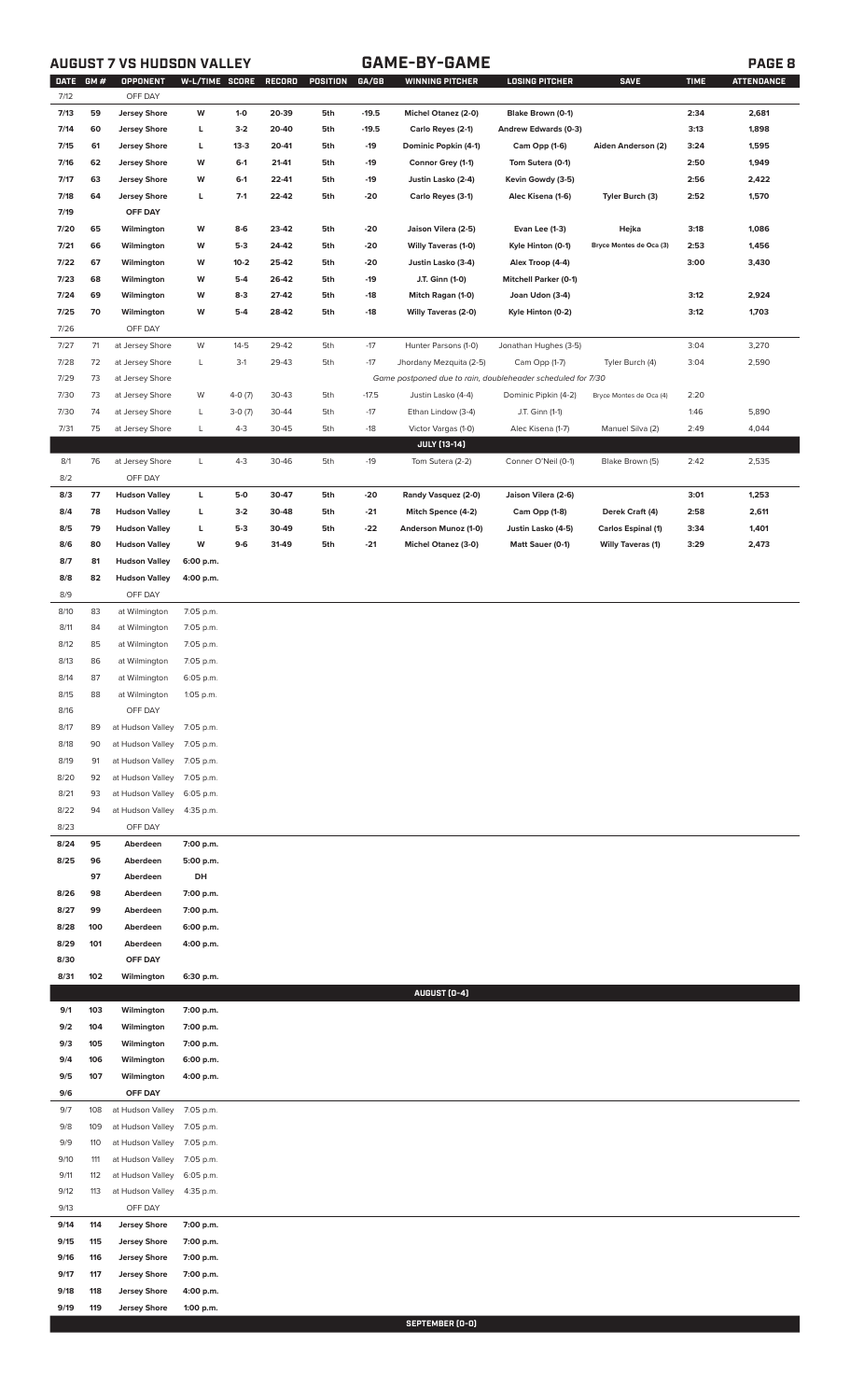## **AUGUST 7 VS HUDSON VALLEY GAME-BY-GAME PAGE 8**

|      | DATE GM # | OPPONENT                   | W-L/TIME SCORE |          | RECORD | POSITION | GA/GB   | WINNING PITCHER                                             | <b>LOSING PITCHER</b>        | <b>SAVE</b>               | <b>TIME</b> | <b>ATTENDANCE</b> |
|------|-----------|----------------------------|----------------|----------|--------|----------|---------|-------------------------------------------------------------|------------------------------|---------------------------|-------------|-------------------|
| 7/12 |           | OFF DAY                    |                |          |        |          |         |                                                             |                              |                           |             |                   |
| 7/13 | 59        | <b>Jersey Shore</b>        | W              | $1-0$    | 20-39  | 5th      | $-19.5$ | Michel Otanez (2-0)                                         | Blake Brown (0-1)            |                           | 2:34        | 2,681             |
| 7/14 | 60        | <b>Jersey Shore</b>        | L              | $3-2$    | 20-40  | 5th      | $-19.5$ | Carlo Reyes (2-1)                                           | Andrew Edwards (0-3)         |                           | 3:13        | 1,898             |
| 7/15 | 61        | <b>Jersey Shore</b>        | L              | $13-3$   | 20-41  | 5th      | $-19$   | Dominic Popkin (4-1)                                        | Cam Opp (1-6)                | Aiden Anderson (2)        | 3:24        | 1,595             |
| 7/16 | 62        | <b>Jersey Shore</b>        | W              | $6-1$    | 21-41  | 5th      | -19     | Connor Grey (1-1)                                           | Tom Sutera (0-1)             |                           | 2:50        | 1,949             |
|      |           |                            |                |          |        |          |         |                                                             |                              |                           |             |                   |
| 7/17 | 63        | <b>Jersey Shore</b>        | W              | $6-1$    | 22-41  | 5th      | -19     | Justin Lasko (2-4)                                          | Kevin Gowdy (3-5)            |                           | 2:56        | 2,422             |
| 7/18 | 64        | <b>Jersey Shore</b>        | L              | $7-1$    | 22-42  | 5th      | -20     | Carlo Reyes (3-1)                                           | Alec Kisena (1-6)            | Tyler Burch (3)           | 2:52        | 1,570             |
| 7/19 |           | OFF DAY                    |                |          |        |          |         |                                                             |                              |                           |             |                   |
| 7/20 | 65        | Wilmington                 | W              | $8-6$    | 23-42  | 5th      | $-20$   | Jaison Vilera (2-5)                                         | Evan Lee (1-3)               | Hejka                     | 3:18        | 1,086             |
| 7/21 | 66        | Wilmington                 | W              | $5-3$    | 24-42  | 5th      | -20     | <b>Willy Taveras (1-0)</b>                                  | Kyle Hinton (0-1)            | Bryce Montes de Oca (3)   | 2:53        | 1,456             |
|      |           |                            |                |          |        |          |         |                                                             |                              |                           |             |                   |
| 7/22 | 67        | Wilmington                 | W              | $10 - 2$ | 25-42  | 5th      | -20     | Justin Lasko (3-4)                                          | Alex Troop (4-4)             |                           | 3:00        | 3,430             |
| 7/23 | 68        | Wilmington                 | W              | $5-4$    | 26-42  | 5th      | -19     | J.T. Ginn (1-0)                                             | <b>Mitchell Parker (0-1)</b> |                           |             |                   |
| 7/24 | 69        | Wilmington                 | W              | $8-3$    | 27-42  | 5th      | -18     | Mitch Ragan (1-0)                                           | Joan Udon (3-4)              |                           | 3:12        | 2,924             |
| 7/25 | 70        | Wilmington                 | W              | $5-4$    | 28-42  | 5th      | -18     | Willy Taveras (2-0)                                         | Kyle Hinton (0-2)            |                           | 3:12        | 1,703             |
| 7/26 |           | OFF DAY                    |                |          |        |          |         |                                                             |                              |                           |             |                   |
| 7/27 | 71        | at Jersey Shore            | W              | $14 - 5$ | 29-42  | 5th      | $-17$   | Hunter Parsons (1-0)                                        | Jonathan Hughes (3-5)        |                           | 3:04        | 3,270             |
|      |           |                            |                |          |        |          |         |                                                             |                              |                           |             |                   |
| 7/28 | 72        | at Jersey Shore            | L              | $3-1$    | 29-43  | 5th      | $-17$   | Jhordany Mezquita (2-5)                                     | Cam Opp (1-7)                | Tyler Burch (4)           | 3:04        | 2,590             |
| 7/29 | 73        | at Jersey Shore            |                |          |        |          |         | Game postponed due to rain, doubleheader scheduled for 7/30 |                              |                           |             |                   |
| 7/30 | 73        | at Jersey Shore            | W              | $4-0(7)$ | 30-43  | 5th      | $-17.5$ | Justin Lasko (4-4)                                          | Dominic Pipkin (4-2)         | Bryce Montes de Oca (4)   | 2:20        |                   |
| 7/30 | 74        | at Jersey Shore            | L              | $3-0(7)$ | 30-44  | 5th      | $-17$   | Ethan Lindow (3-4)                                          | J.T. Ginn (1-1)              |                           | 1:46        | 5,890             |
| 7/31 | 75        | at Jersey Shore            | L              | $4 - 3$  | 30-45  | 5th      | $-18$   | Victor Vargas (1-0)                                         | Alec Kisena (1-7)            | Manuel Silva (2)          | 2:49        | 4,044             |
|      |           |                            |                |          |        |          |         |                                                             |                              |                           |             |                   |
|      |           |                            |                |          |        |          |         | <b>JULY [13-14]</b>                                         |                              |                           |             |                   |
| 8/1  | 76        | at Jersey Shore            | L              | $4 - 3$  | 30-46  | 5th      | $-19$   | Tom Sutera (2-2)                                            | Conner O'Neil (0-1)          | Blake Brown (5)           | 2:42        | 2,535             |
| 8/2  |           | OFF DAY                    |                |          |        |          |         |                                                             |                              |                           |             |                   |
| 8/3  | 77        | <b>Hudson Valley</b>       | L              | 5-0      | 30-47  | 5th      | -20     | Randy Vasquez (2-0)                                         | Jaison Vilera (2-6)          |                           | 3:01        | 1,253             |
| 8/4  | 78        | <b>Hudson Valley</b>       | L              | $3-2$    | 30-48  | 5th      | $-21$   | Mitch Spence (4-2)                                          | Cam Opp (1-8)                | Derek Craft (4)           | 2:58        | 2,611             |
|      |           |                            |                |          |        |          |         |                                                             |                              |                           |             |                   |
| 8/5  | 79        | <b>Hudson Valley</b>       | Г              | $5-3$    | 30-49  | 5th      | $-22$   | Anderson Munoz (1-0)                                        | Justin Lasko (4-5)           | <b>Carlos Espinal (1)</b> | 3:34        | 1,401             |
| 8/6  | 80        | <b>Hudson Valley</b>       | W              | $9-6$    | 31-49  | 5th      | -21     | Michel Otanez (3-0)                                         | Matt Sauer (0-1)             | <b>Willy Taveras (1)</b>  | 3:29        | 2,473             |
| 8/7  | 81        | <b>Hudson Valley</b>       | 6:00 p.m.      |          |        |          |         |                                                             |                              |                           |             |                   |
| 8/8  | 82        | <b>Hudson Valley</b>       | 4:00 p.m.      |          |        |          |         |                                                             |                              |                           |             |                   |
| 8/9  |           | OFF DAY                    |                |          |        |          |         |                                                             |                              |                           |             |                   |
|      |           |                            |                |          |        |          |         |                                                             |                              |                           |             |                   |
| 8/10 | 83        | at Wilmington              | 7:05 p.m.      |          |        |          |         |                                                             |                              |                           |             |                   |
| 8/11 | 84        | at Wilmington              | 7:05 p.m.      |          |        |          |         |                                                             |                              |                           |             |                   |
| 8/12 | 85        | at Wilmington              | 7:05 p.m.      |          |        |          |         |                                                             |                              |                           |             |                   |
| 8/13 | 86        | at Wilmington              | 7:05 p.m.      |          |        |          |         |                                                             |                              |                           |             |                   |
| 8/14 | 87        | at Wilmington              | 6:05 p.m.      |          |        |          |         |                                                             |                              |                           |             |                   |
| 8/15 | 88        | at Wilmington              | 1:05 p.m.      |          |        |          |         |                                                             |                              |                           |             |                   |
|      |           |                            |                |          |        |          |         |                                                             |                              |                           |             |                   |
| 8/16 |           | OFF DAY                    |                |          |        |          |         |                                                             |                              |                           |             |                   |
| 8/17 | 89        | at Hudson Valley           | 7:05 p.m.      |          |        |          |         |                                                             |                              |                           |             |                   |
| 8/18 | 90        | at Hudson Valley           | 7:05 p.m.      |          |        |          |         |                                                             |                              |                           |             |                   |
| 8/19 | 91        | at Hudson Valley           | 7:05 p.m.      |          |        |          |         |                                                             |                              |                           |             |                   |
| 8/20 | 92        | at Hudson Valley           | 7:05 p.m.      |          |        |          |         |                                                             |                              |                           |             |                   |
|      |           |                            |                |          |        |          |         |                                                             |                              |                           |             |                   |
| 8/21 | 93        | at Hudson Valley           | 6:05 p.m.      |          |        |          |         |                                                             |                              |                           |             |                   |
| 8/22 | 94        | at Hudson Valley           | 4:35 p.m.      |          |        |          |         |                                                             |                              |                           |             |                   |
| 8/23 |           | OFF DAY                    |                |          |        |          |         |                                                             |                              |                           |             |                   |
| 8/24 | 95        | Aberdeen                   | 7:00 p.m.      |          |        |          |         |                                                             |                              |                           |             |                   |
| 8/25 | 96        | Aberdeen                   | 5:00 p.m.      |          |        |          |         |                                                             |                              |                           |             |                   |
|      |           |                            |                |          |        |          |         |                                                             |                              |                           |             |                   |
|      | 97        | Aberdeen                   | DH             |          |        |          |         |                                                             |                              |                           |             |                   |
| 8/26 | 98        | Aberdeen                   | 7:00 p.m.      |          |        |          |         |                                                             |                              |                           |             |                   |
| 8/27 | 99        | Aberdeen                   | 7:00 p.m.      |          |        |          |         |                                                             |                              |                           |             |                   |
| 8/28 | 100       | Aberdeen                   | 6:00 p.m.      |          |        |          |         |                                                             |                              |                           |             |                   |
| 8/29 | 101       | Aberdeen                   | 4:00 p.m.      |          |        |          |         |                                                             |                              |                           |             |                   |
| 8/30 |           | OFF DAY                    |                |          |        |          |         |                                                             |                              |                           |             |                   |
|      |           |                            |                |          |        |          |         |                                                             |                              |                           |             |                   |
| 8/31 | 102       | Wilmington                 | 6:30 p.m.      |          |        |          |         |                                                             |                              |                           |             |                   |
|      |           |                            |                |          |        |          |         | AUGUST (0-4)                                                |                              |                           |             |                   |
| 9/1  | 103       | Wilmington                 | 7:00 p.m.      |          |        |          |         |                                                             |                              |                           |             |                   |
| 9/2  | 104       | Wilmington                 | 7:00 p.m.      |          |        |          |         |                                                             |                              |                           |             |                   |
| 9/3  | 105       | Wilmington                 | 7:00 p.m.      |          |        |          |         |                                                             |                              |                           |             |                   |
|      |           |                            |                |          |        |          |         |                                                             |                              |                           |             |                   |
| 9/4  | 106       | Wilmington                 | 6:00 p.m.      |          |        |          |         |                                                             |                              |                           |             |                   |
| 9/5  | 107       | Wilmington                 | 4:00 p.m.      |          |        |          |         |                                                             |                              |                           |             |                   |
| 9/6  |           | OFF DAY                    |                |          |        |          |         |                                                             |                              |                           |             |                   |
| 9/7  | 108       | at Hudson Valley           | 7:05 p.m.      |          |        |          |         |                                                             |                              |                           |             |                   |
| 9/8  | 109       | at Hudson Valley           | 7:05 p.m.      |          |        |          |         |                                                             |                              |                           |             |                   |
| 9/9  | 110       | at Hudson Valley 7:05 p.m. |                |          |        |          |         |                                                             |                              |                           |             |                   |
|      |           |                            |                |          |        |          |         |                                                             |                              |                           |             |                   |
| 9/10 | 111       | at Hudson Valley 7:05 p.m. |                |          |        |          |         |                                                             |                              |                           |             |                   |
| 9/11 | 112       | at Hudson Valley           | 6:05 p.m.      |          |        |          |         |                                                             |                              |                           |             |                   |
| 9/12 | 113       | at Hudson Valley 4:35 p.m. |                |          |        |          |         |                                                             |                              |                           |             |                   |
| 9/13 |           | OFF DAY                    |                |          |        |          |         |                                                             |                              |                           |             |                   |
| 9/14 | 114       | <b>Jersey Shore</b>        | 7:00 p.m.      |          |        |          |         |                                                             |                              |                           |             |                   |
| 9/15 | 115       | <b>Jersey Shore</b>        | 7:00 p.m.      |          |        |          |         |                                                             |                              |                           |             |                   |
|      |           |                            |                |          |        |          |         |                                                             |                              |                           |             |                   |
| 9/16 | 116       | <b>Jersey Shore</b>        | 7:00 p.m.      |          |        |          |         |                                                             |                              |                           |             |                   |
| 9/17 | 117       | <b>Jersey Shore</b>        | 7:00 p.m.      |          |        |          |         |                                                             |                              |                           |             |                   |
| 9/18 | 118       | <b>Jersey Shore</b>        | 4:00 p.m.      |          |        |          |         |                                                             |                              |                           |             |                   |
| 9/19 | 119       | <b>Jersey Shore</b>        | 1:00 p.m.      |          |        |          |         |                                                             |                              |                           |             |                   |

**SEPTEMBER (0-0)**<br>SEPTEMBER (0-0)